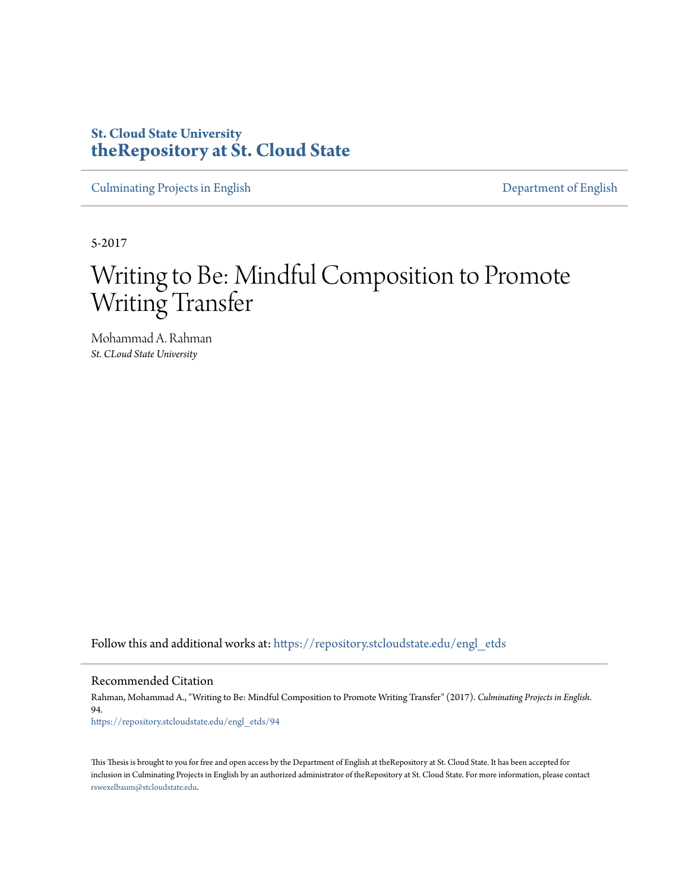# **St. Cloud State University [theRepository at St. Cloud State](https://repository.stcloudstate.edu?utm_source=repository.stcloudstate.edu%2Fengl_etds%2F94&utm_medium=PDF&utm_campaign=PDFCoverPages)**

[Culminating Projects in English](https://repository.stcloudstate.edu/engl_etds?utm_source=repository.stcloudstate.edu%2Fengl_etds%2F94&utm_medium=PDF&utm_campaign=PDFCoverPages) [Department of English](https://repository.stcloudstate.edu/engl?utm_source=repository.stcloudstate.edu%2Fengl_etds%2F94&utm_medium=PDF&utm_campaign=PDFCoverPages)

5-2017

# Writing to Be: Mindful Composition to Promote Writing Transfer

Mohammad A. Rahman *St. CLoud State University*

Follow this and additional works at: [https://repository.stcloudstate.edu/engl\\_etds](https://repository.stcloudstate.edu/engl_etds?utm_source=repository.stcloudstate.edu%2Fengl_etds%2F94&utm_medium=PDF&utm_campaign=PDFCoverPages)

Recommended Citation

Rahman, Mohammad A., "Writing to Be: Mindful Composition to Promote Writing Transfer" (2017). *Culminating Projects in English*. 94.

[https://repository.stcloudstate.edu/engl\\_etds/94](https://repository.stcloudstate.edu/engl_etds/94?utm_source=repository.stcloudstate.edu%2Fengl_etds%2F94&utm_medium=PDF&utm_campaign=PDFCoverPages)

This Thesis is brought to you for free and open access by the Department of English at theRepository at St. Cloud State. It has been accepted for inclusion in Culminating Projects in English by an authorized administrator of theRepository at St. Cloud State. For more information, please contact [rswexelbaum@stcloudstate.edu](mailto:rswexelbaum@stcloudstate.edu).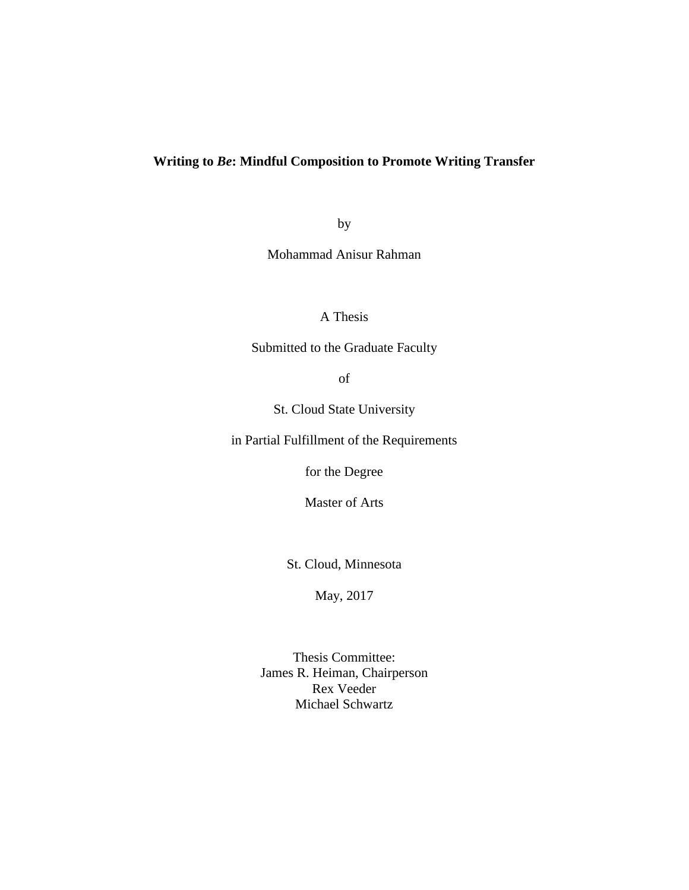## **Writing to** *Be***: Mindful Composition to Promote Writing Transfer**

by

Mohammad Anisur Rahman

A Thesis

Submitted to the Graduate Faculty

of

St. Cloud State University

in Partial Fulfillment of the Requirements

for the Degree

Master of Arts

St. Cloud, Minnesota

May, 2017

Thesis Committee: James R. Heiman, Chairperson Rex Veeder Michael Schwartz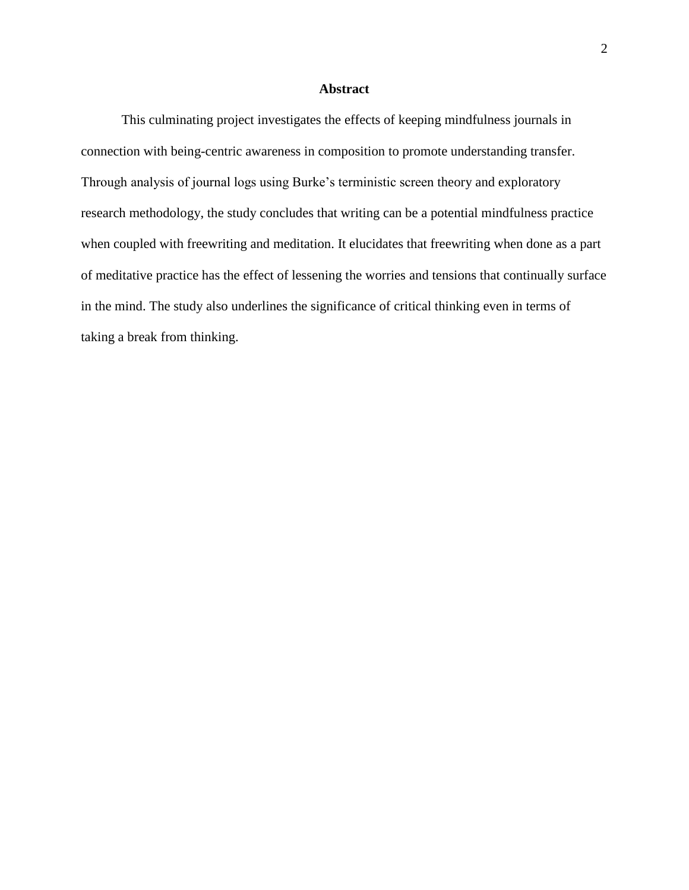## **Abstract**

This culminating project investigates the effects of keeping mindfulness journals in connection with being-centric awareness in composition to promote understanding transfer. Through analysis of journal logs using Burke's terministic screen theory and exploratory research methodology, the study concludes that writing can be a potential mindfulness practice when coupled with freewriting and meditation. It elucidates that freewriting when done as a part of meditative practice has the effect of lessening the worries and tensions that continually surface in the mind. The study also underlines the significance of critical thinking even in terms of taking a break from thinking.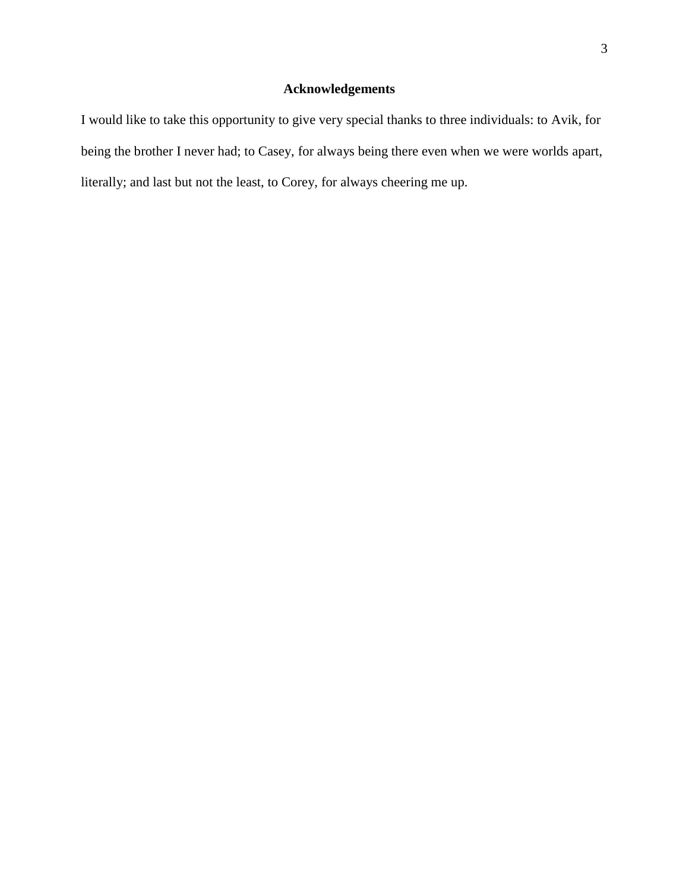## **Acknowledgements**

I would like to take this opportunity to give very special thanks to three individuals: to Avik, for being the brother I never had; to Casey, for always being there even when we were worlds apart, literally; and last but not the least, to Corey, for always cheering me up.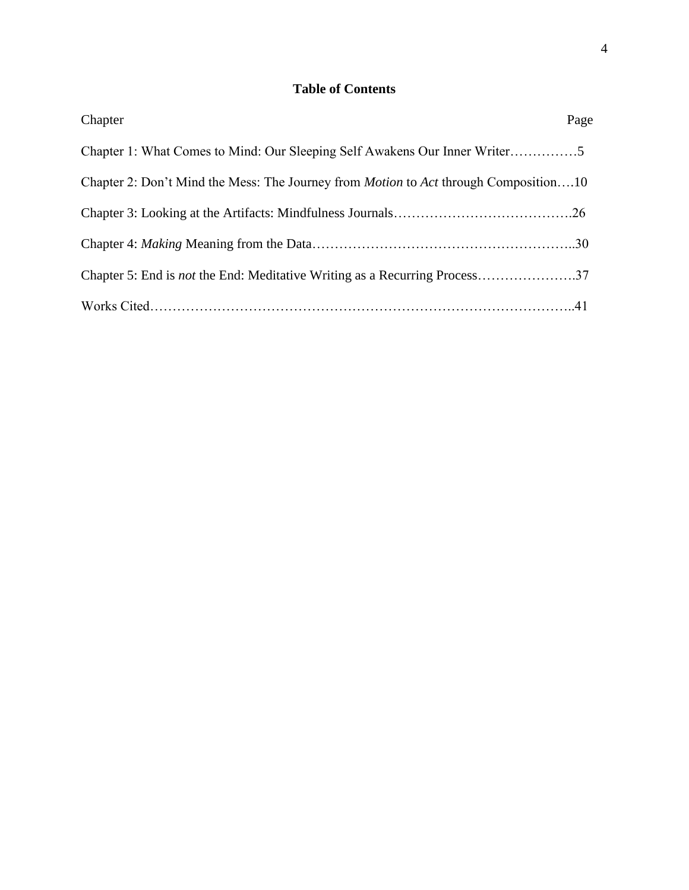# **Table of Contents**

| Chapter                                                                                            | Page |
|----------------------------------------------------------------------------------------------------|------|
| Chapter 1: What Comes to Mind: Our Sleeping Self Awakens Our Inner Writer5                         |      |
| Chapter 2: Don't Mind the Mess: The Journey from <i>Motion</i> to <i>Act</i> through Composition10 |      |
|                                                                                                    |      |
|                                                                                                    |      |
| Chapter 5: End is <i>not</i> the End: Meditative Writing as a Recurring Process37                  |      |
|                                                                                                    |      |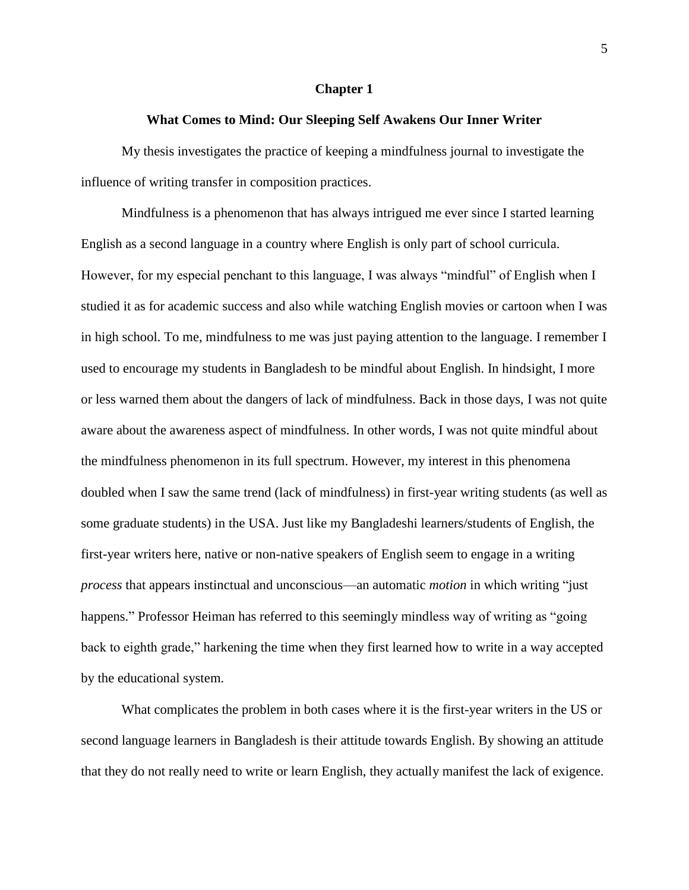#### **Chapter 1**

### **What Comes to Mind: Our Sleeping Self Awakens Our Inner Writer**

My thesis investigates the practice of keeping a mindfulness journal to investigate the influence of writing transfer in composition practices.

Mindfulness is a phenomenon that has always intrigued me ever since I started learning English as a second language in a country where English is only part of school curricula. However, for my especial penchant to this language, I was always "mindful" of English when I studied it as for academic success and also while watching English movies or cartoon when I was in high school. To me, mindfulness to me was just paying attention to the language. I remember I used to encourage my students in Bangladesh to be mindful about English. In hindsight, I more or less warned them about the dangers of lack of mindfulness. Back in those days, I was not quite aware about the awareness aspect of mindfulness. In other words, I was not quite mindful about the mindfulness phenomenon in its full spectrum. However, my interest in this phenomena doubled when I saw the same trend (lack of mindfulness) in first-year writing students (as well as some graduate students) in the USA. Just like my Bangladeshi learners/students of English, the first-year writers here, native or non-native speakers of English seem to engage in a writing *process* that appears instinctual and unconscious—an automatic *motion* in which writing "just happens." Professor Heiman has referred to this seemingly mindless way of writing as "going" back to eighth grade," harkening the time when they first learned how to write in a way accepted by the educational system.

What complicates the problem in both cases where it is the first-year writers in the US or second language learners in Bangladesh is their attitude towards English. By showing an attitude that they do not really need to write or learn English, they actually manifest the lack of exigence.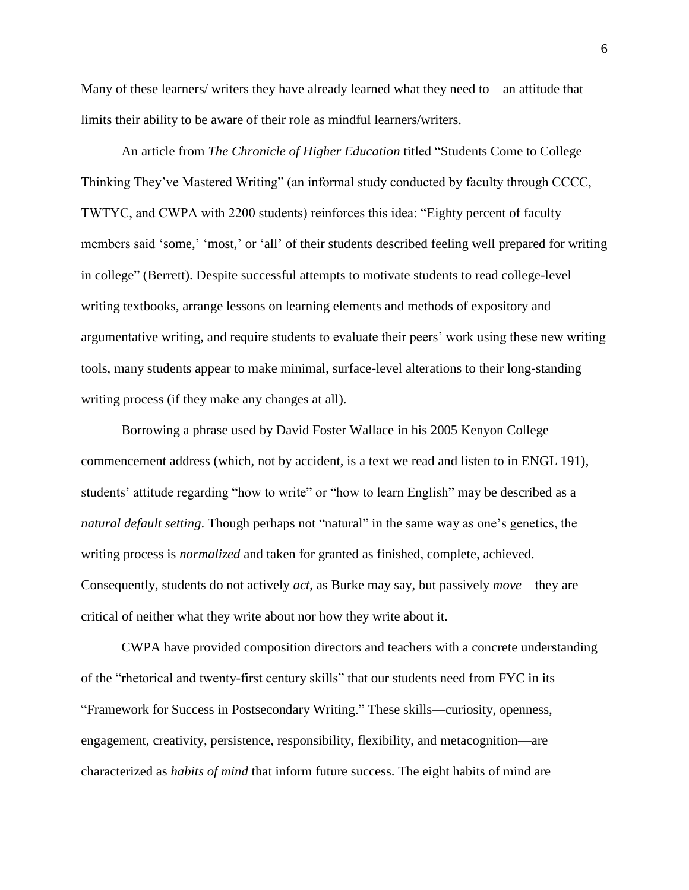Many of these learners/ writers they have already learned what they need to—an attitude that limits their ability to be aware of their role as mindful learners/writers.

An article from *The Chronicle of Higher Education* titled "Students Come to College Thinking They've Mastered Writing" (an informal study conducted by faculty through CCCC, TWTYC, and CWPA with 2200 students) reinforces this idea: "Eighty percent of faculty members said 'some,' 'most,' or 'all' of their students described feeling well prepared for writing in college" (Berrett). Despite successful attempts to motivate students to read college-level writing textbooks, arrange lessons on learning elements and methods of expository and argumentative writing, and require students to evaluate their peers' work using these new writing tools, many students appear to make minimal, surface-level alterations to their long-standing writing process (if they make any changes at all).

Borrowing a phrase used by David Foster Wallace in his 2005 Kenyon College commencement address (which, not by accident, is a text we read and listen to in ENGL 191), students' attitude regarding "how to write" or "how to learn English" may be described as a *natural default setting*. Though perhaps not "natural" in the same way as one's genetics, the writing process is *normalized* and taken for granted as finished, complete, achieved. Consequently, students do not actively *act*, as Burke may say, but passively *move*—they are critical of neither what they write about nor how they write about it.

CWPA have provided composition directors and teachers with a concrete understanding of the "rhetorical and twenty-first century skills" that our students need from FYC in its "Framework for Success in Postsecondary Writing." These skills—curiosity, openness, engagement, creativity, persistence, responsibility, flexibility, and metacognition—are characterized as *habits of mind* that inform future success. The eight habits of mind are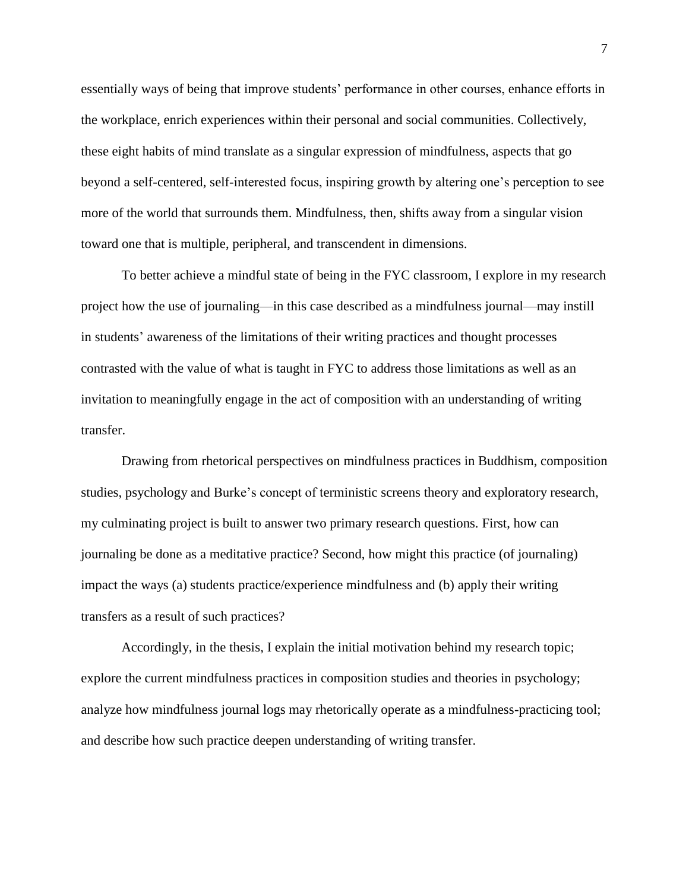essentially ways of being that improve students' performance in other courses, enhance efforts in the workplace, enrich experiences within their personal and social communities. Collectively, these eight habits of mind translate as a singular expression of mindfulness, aspects that go beyond a self-centered, self-interested focus, inspiring growth by altering one's perception to see more of the world that surrounds them. Mindfulness, then, shifts away from a singular vision toward one that is multiple, peripheral, and transcendent in dimensions.

To better achieve a mindful state of being in the FYC classroom, I explore in my research project how the use of journaling—in this case described as a mindfulness journal—may instill in students' awareness of the limitations of their writing practices and thought processes contrasted with the value of what is taught in FYC to address those limitations as well as an invitation to meaningfully engage in the act of composition with an understanding of writing transfer.

Drawing from rhetorical perspectives on mindfulness practices in Buddhism, composition studies, psychology and Burke's concept of terministic screens theory and exploratory research, my culminating project is built to answer two primary research questions. First, how can journaling be done as a meditative practice? Second, how might this practice (of journaling) impact the ways (a) students practice/experience mindfulness and (b) apply their writing transfers as a result of such practices?

Accordingly, in the thesis, I explain the initial motivation behind my research topic; explore the current mindfulness practices in composition studies and theories in psychology; analyze how mindfulness journal logs may rhetorically operate as a mindfulness-practicing tool; and describe how such practice deepen understanding of writing transfer.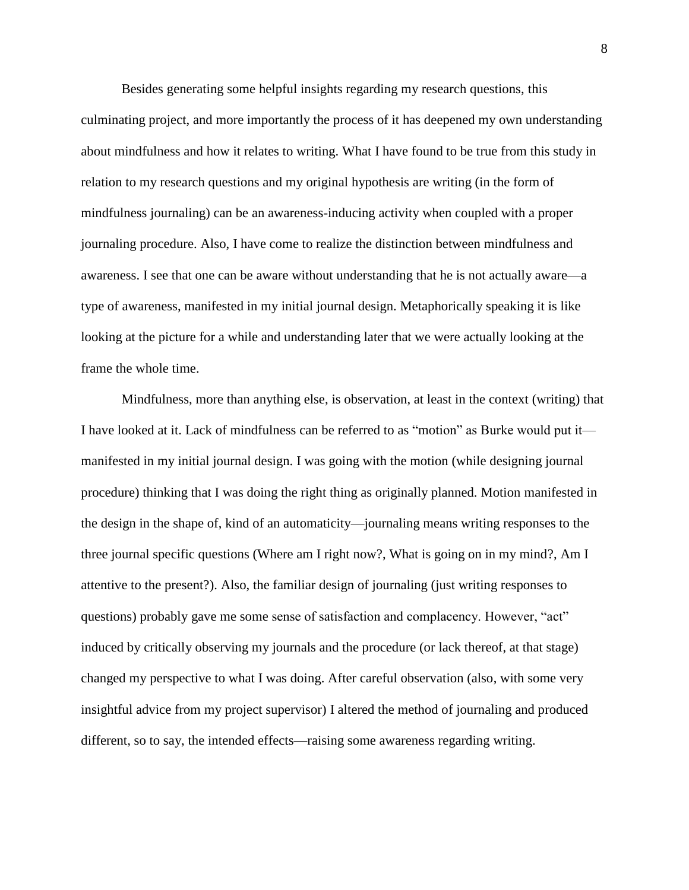Besides generating some helpful insights regarding my research questions, this culminating project, and more importantly the process of it has deepened my own understanding about mindfulness and how it relates to writing. What I have found to be true from this study in relation to my research questions and my original hypothesis are writing (in the form of mindfulness journaling) can be an awareness-inducing activity when coupled with a proper journaling procedure. Also, I have come to realize the distinction between mindfulness and awareness. I see that one can be aware without understanding that he is not actually aware—a type of awareness, manifested in my initial journal design. Metaphorically speaking it is like looking at the picture for a while and understanding later that we were actually looking at the frame the whole time.

Mindfulness, more than anything else, is observation, at least in the context (writing) that I have looked at it. Lack of mindfulness can be referred to as "motion" as Burke would put it manifested in my initial journal design. I was going with the motion (while designing journal procedure) thinking that I was doing the right thing as originally planned. Motion manifested in the design in the shape of, kind of an automaticity—journaling means writing responses to the three journal specific questions (Where am I right now?, What is going on in my mind?, Am I attentive to the present?). Also, the familiar design of journaling (just writing responses to questions) probably gave me some sense of satisfaction and complacency. However, "act" induced by critically observing my journals and the procedure (or lack thereof, at that stage) changed my perspective to what I was doing. After careful observation (also, with some very insightful advice from my project supervisor) I altered the method of journaling and produced different, so to say, the intended effects—raising some awareness regarding writing.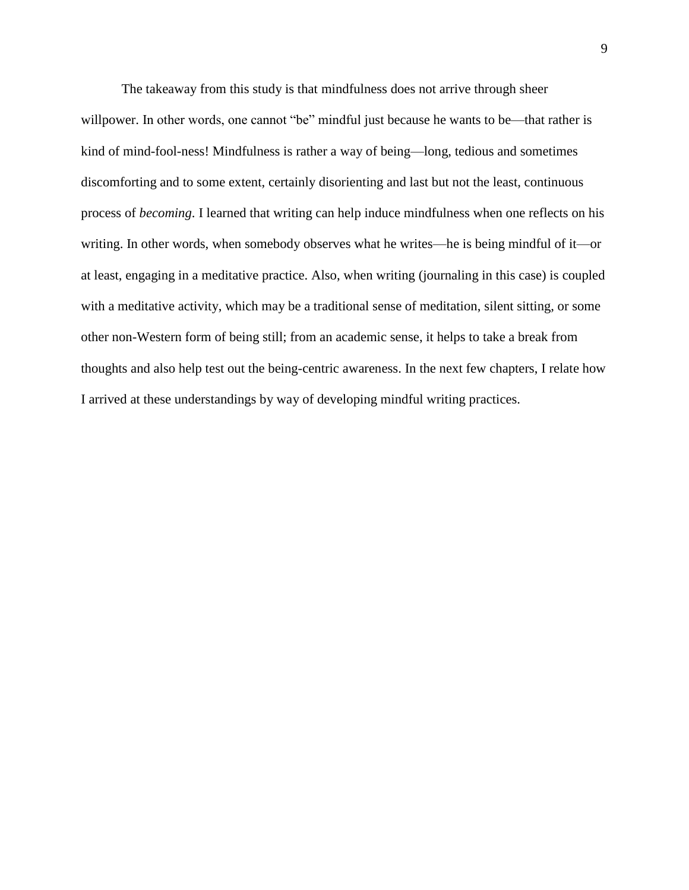The takeaway from this study is that mindfulness does not arrive through sheer willpower. In other words, one cannot "be" mindful just because he wants to be—that rather is kind of mind-fool-ness! Mindfulness is rather a way of being—long, tedious and sometimes discomforting and to some extent, certainly disorienting and last but not the least, continuous process of *becoming*. I learned that writing can help induce mindfulness when one reflects on his writing. In other words, when somebody observes what he writes—he is being mindful of it—or at least, engaging in a meditative practice. Also, when writing (journaling in this case) is coupled with a meditative activity, which may be a traditional sense of meditation, silent sitting, or some other non-Western form of being still; from an academic sense, it helps to take a break from thoughts and also help test out the being-centric awareness. In the next few chapters, I relate how I arrived at these understandings by way of developing mindful writing practices.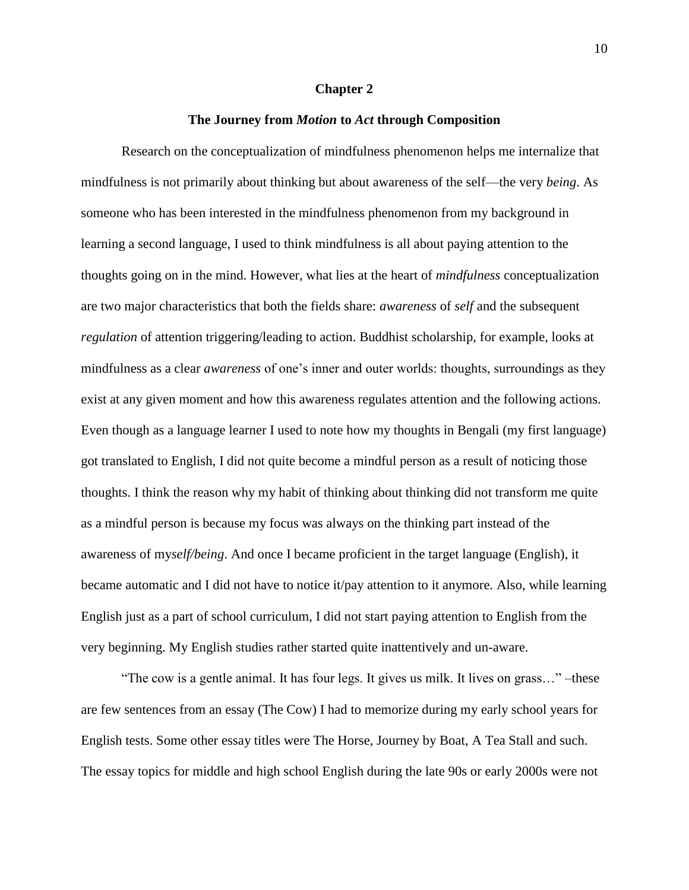#### **Chapter 2**

### **The Journey from** *Motion* **to** *Act* **through Composition**

Research on the conceptualization of mindfulness phenomenon helps me internalize that mindfulness is not primarily about thinking but about awareness of the self—the very *being*. As someone who has been interested in the mindfulness phenomenon from my background in learning a second language, I used to think mindfulness is all about paying attention to the thoughts going on in the mind. However, what lies at the heart of *mindfulness* conceptualization are two major characteristics that both the fields share: *awareness* of *self* and the subsequent *regulation* of attention triggering/leading to action. Buddhist scholarship, for example, looks at mindfulness as a clear *awareness* of one's inner and outer worlds: thoughts, surroundings as they exist at any given moment and how this awareness regulates attention and the following actions. Even though as a language learner I used to note how my thoughts in Bengali (my first language) got translated to English, I did not quite become a mindful person as a result of noticing those thoughts. I think the reason why my habit of thinking about thinking did not transform me quite as a mindful person is because my focus was always on the thinking part instead of the awareness of my*self/being*. And once I became proficient in the target language (English), it became automatic and I did not have to notice it/pay attention to it anymore. Also, while learning English just as a part of school curriculum, I did not start paying attention to English from the very beginning. My English studies rather started quite inattentively and un-aware.

"The cow is a gentle animal. It has four legs. It gives us milk. It lives on grass…" –these are few sentences from an essay (The Cow) I had to memorize during my early school years for English tests. Some other essay titles were The Horse, Journey by Boat, A Tea Stall and such. The essay topics for middle and high school English during the late 90s or early 2000s were not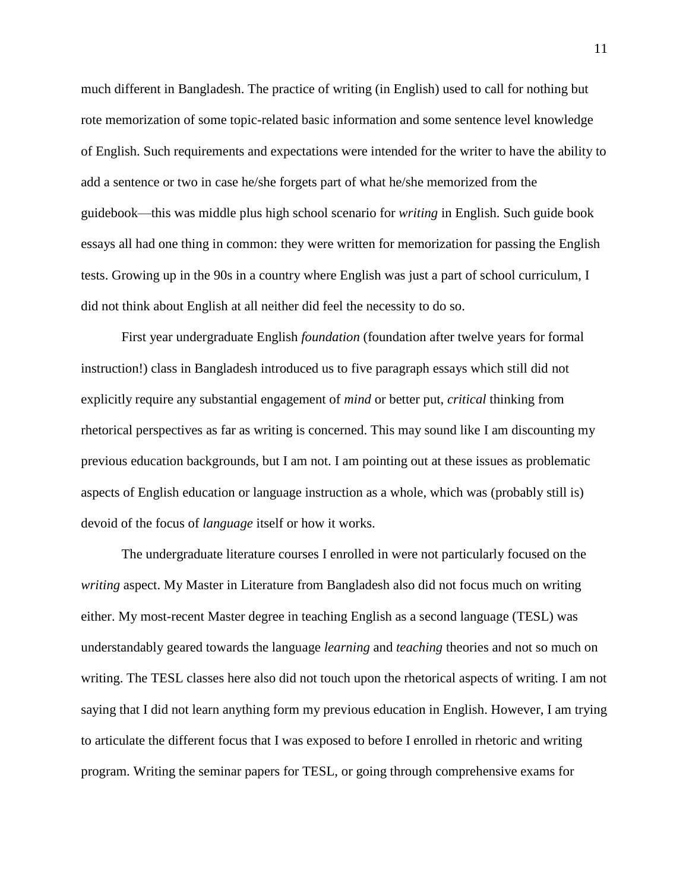much different in Bangladesh. The practice of writing (in English) used to call for nothing but rote memorization of some topic-related basic information and some sentence level knowledge of English. Such requirements and expectations were intended for the writer to have the ability to add a sentence or two in case he/she forgets part of what he/she memorized from the guidebook—this was middle plus high school scenario for *writing* in English. Such guide book essays all had one thing in common: they were written for memorization for passing the English tests. Growing up in the 90s in a country where English was just a part of school curriculum, I did not think about English at all neither did feel the necessity to do so.

First year undergraduate English *foundation* (foundation after twelve years for formal instruction!) class in Bangladesh introduced us to five paragraph essays which still did not explicitly require any substantial engagement of *mind* or better put, *critical* thinking from rhetorical perspectives as far as writing is concerned. This may sound like I am discounting my previous education backgrounds, but I am not. I am pointing out at these issues as problematic aspects of English education or language instruction as a whole, which was (probably still is) devoid of the focus of *language* itself or how it works.

The undergraduate literature courses I enrolled in were not particularly focused on the *writing* aspect. My Master in Literature from Bangladesh also did not focus much on writing either. My most-recent Master degree in teaching English as a second language (TESL) was understandably geared towards the language *learning* and *teaching* theories and not so much on writing. The TESL classes here also did not touch upon the rhetorical aspects of writing. I am not saying that I did not learn anything form my previous education in English. However, I am trying to articulate the different focus that I was exposed to before I enrolled in rhetoric and writing program. Writing the seminar papers for TESL, or going through comprehensive exams for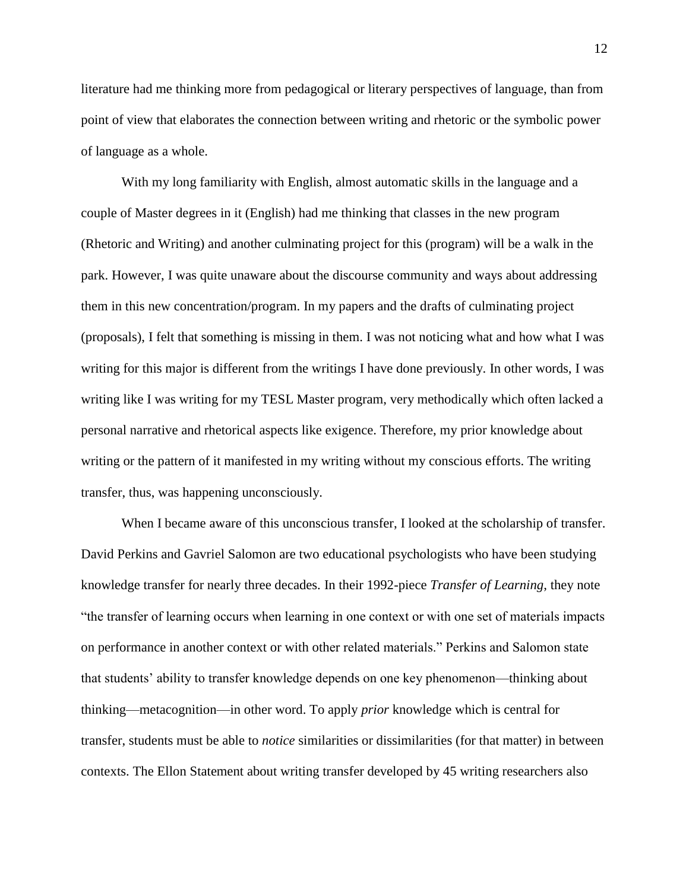literature had me thinking more from pedagogical or literary perspectives of language, than from point of view that elaborates the connection between writing and rhetoric or the symbolic power of language as a whole.

With my long familiarity with English, almost automatic skills in the language and a couple of Master degrees in it (English) had me thinking that classes in the new program (Rhetoric and Writing) and another culminating project for this (program) will be a walk in the park. However, I was quite unaware about the discourse community and ways about addressing them in this new concentration/program. In my papers and the drafts of culminating project (proposals), I felt that something is missing in them. I was not noticing what and how what I was writing for this major is different from the writings I have done previously. In other words, I was writing like I was writing for my TESL Master program, very methodically which often lacked a personal narrative and rhetorical aspects like exigence. Therefore, my prior knowledge about writing or the pattern of it manifested in my writing without my conscious efforts. The writing transfer, thus, was happening unconsciously.

When I became aware of this unconscious transfer, I looked at the scholarship of transfer. David Perkins and Gavriel Salomon are two educational psychologists who have been studying knowledge transfer for nearly three decades. In their 1992-piece *Transfer of Learning*, they note "the transfer of learning occurs when learning in one context or with one set of materials impacts on performance in another context or with other related materials." Perkins and Salomon state that students' ability to transfer knowledge depends on one key phenomenon—thinking about thinking—metacognition—in other word. To apply *prior* knowledge which is central for transfer, students must be able to *notice* similarities or dissimilarities (for that matter) in between contexts. The Ellon Statement about writing transfer developed by 45 writing researchers also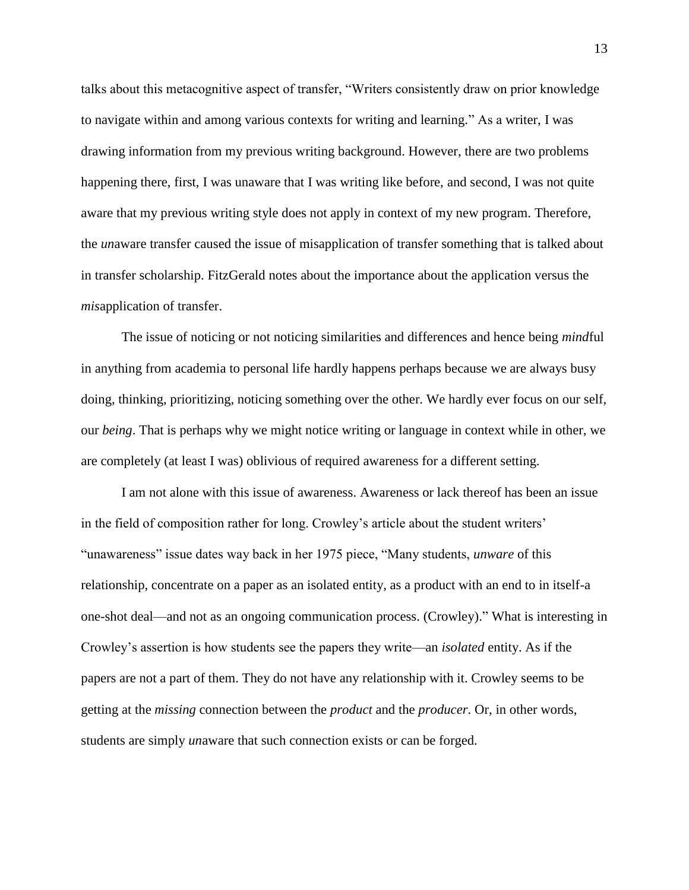talks about this metacognitive aspect of transfer, "Writers consistently draw on prior knowledge to navigate within and among various contexts for writing and learning." As a writer, I was drawing information from my previous writing background. However, there are two problems happening there, first, I was unaware that I was writing like before, and second, I was not quite aware that my previous writing style does not apply in context of my new program. Therefore, the *un*aware transfer caused the issue of misapplication of transfer something that is talked about in transfer scholarship. FitzGerald notes about the importance about the application versus the *mis*application of transfer.

The issue of noticing or not noticing similarities and differences and hence being *mind*ful in anything from academia to personal life hardly happens perhaps because we are always busy doing, thinking, prioritizing, noticing something over the other. We hardly ever focus on our self, our *being*. That is perhaps why we might notice writing or language in context while in other, we are completely (at least I was) oblivious of required awareness for a different setting.

I am not alone with this issue of awareness. Awareness or lack thereof has been an issue in the field of composition rather for long. Crowley's article about the student writers' "unawareness" issue dates way back in her 1975 piece, "Many students, *unware* of this relationship, concentrate on a paper as an isolated entity, as a product with an end to in itself-a one-shot deal—and not as an ongoing communication process. (Crowley)." What is interesting in Crowley's assertion is how students see the papers they write—an *isolated* entity. As if the papers are not a part of them. They do not have any relationship with it. Crowley seems to be getting at the *missing* connection between the *product* and the *producer*. Or, in other words, students are simply *un*aware that such connection exists or can be forged.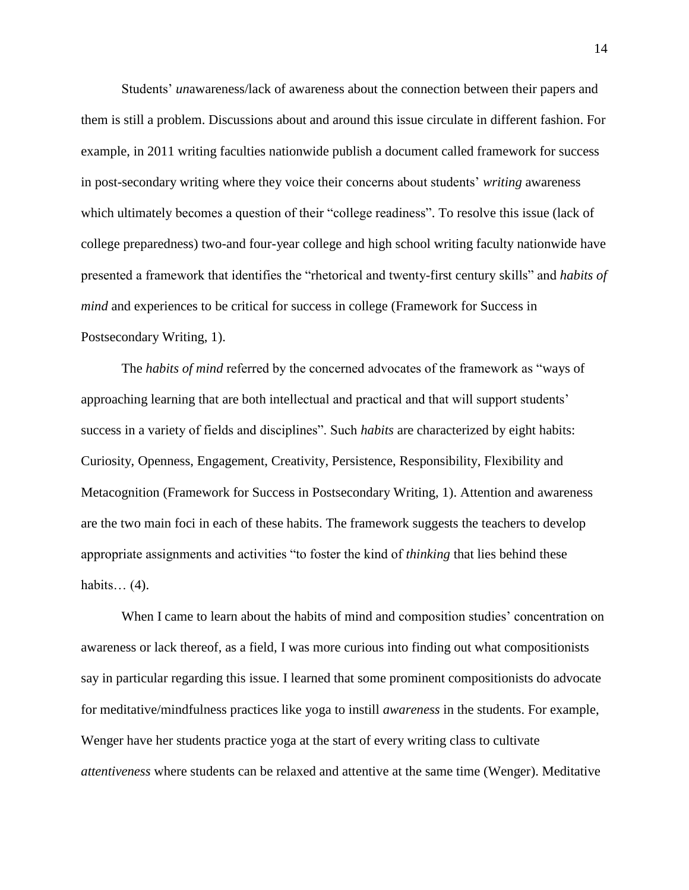Students' *un*awareness/lack of awareness about the connection between their papers and them is still a problem. Discussions about and around this issue circulate in different fashion. For example, in 2011 writing faculties nationwide publish a document called framework for success in post-secondary writing where they voice their concerns about students' *writing* awareness which ultimately becomes a question of their "college readiness". To resolve this issue (lack of college preparedness) two-and four-year college and high school writing faculty nationwide have presented a framework that identifies the "rhetorical and twenty-first century skills" and *habits of mind* and experiences to be critical for success in college (Framework for Success in Postsecondary Writing, 1).

The *habits of mind* referred by the concerned advocates of the framework as "ways of approaching learning that are both intellectual and practical and that will support students' success in a variety of fields and disciplines". Such *habits* are characterized by eight habits: Curiosity, Openness, Engagement, Creativity, Persistence, Responsibility, Flexibility and Metacognition (Framework for Success in Postsecondary Writing, 1). Attention and awareness are the two main foci in each of these habits. The framework suggests the teachers to develop appropriate assignments and activities "to foster the kind of *thinking* that lies behind these habits... $(4)$ .

When I came to learn about the habits of mind and composition studies' concentration on awareness or lack thereof, as a field, I was more curious into finding out what compositionists say in particular regarding this issue. I learned that some prominent compositionists do advocate for meditative/mindfulness practices like yoga to instill *awareness* in the students. For example, Wenger have her students practice yoga at the start of every writing class to cultivate *attentiveness* where students can be relaxed and attentive at the same time (Wenger). Meditative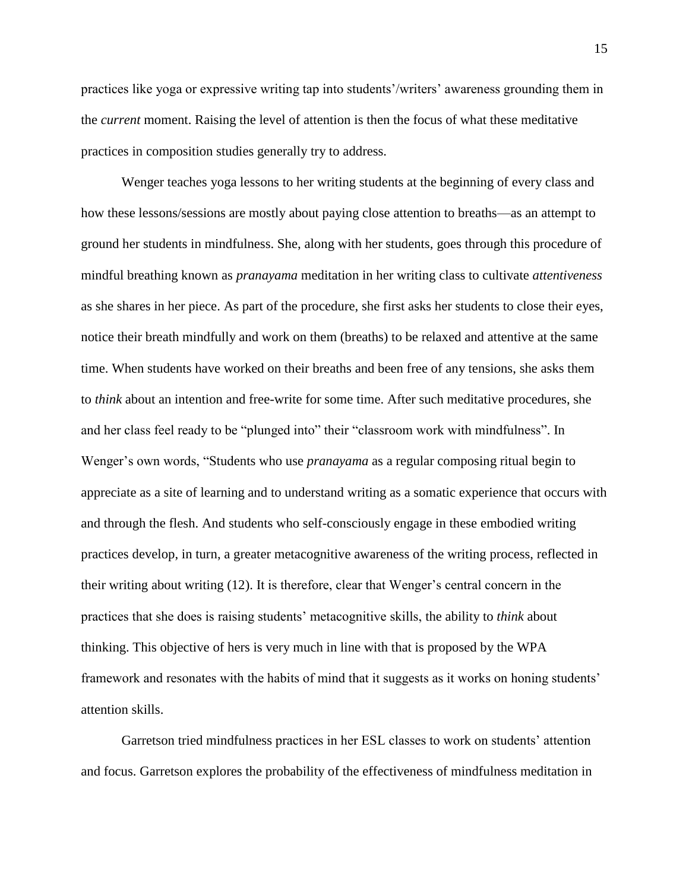practices like yoga or expressive writing tap into students'/writers' awareness grounding them in the *current* moment. Raising the level of attention is then the focus of what these meditative practices in composition studies generally try to address.

Wenger teaches yoga lessons to her writing students at the beginning of every class and how these lessons/sessions are mostly about paying close attention to breaths—as an attempt to ground her students in mindfulness. She, along with her students, goes through this procedure of mindful breathing known as *pranayama* meditation in her writing class to cultivate *attentiveness* as she shares in her piece. As part of the procedure, she first asks her students to close their eyes, notice their breath mindfully and work on them (breaths) to be relaxed and attentive at the same time. When students have worked on their breaths and been free of any tensions, she asks them to *think* about an intention and free-write for some time. After such meditative procedures, she and her class feel ready to be "plunged into" their "classroom work with mindfulness". In Wenger's own words, "Students who use *pranayama* as a regular composing ritual begin to appreciate as a site of learning and to understand writing as a somatic experience that occurs with and through the flesh. And students who self-consciously engage in these embodied writing practices develop, in turn, a greater metacognitive awareness of the writing process, reflected in their writing about writing (12). It is therefore, clear that Wenger's central concern in the practices that she does is raising students' metacognitive skills, the ability to *think* about thinking. This objective of hers is very much in line with that is proposed by the WPA framework and resonates with the habits of mind that it suggests as it works on honing students' attention skills.

Garretson tried mindfulness practices in her ESL classes to work on students' attention and focus. Garretson explores the probability of the effectiveness of mindfulness meditation in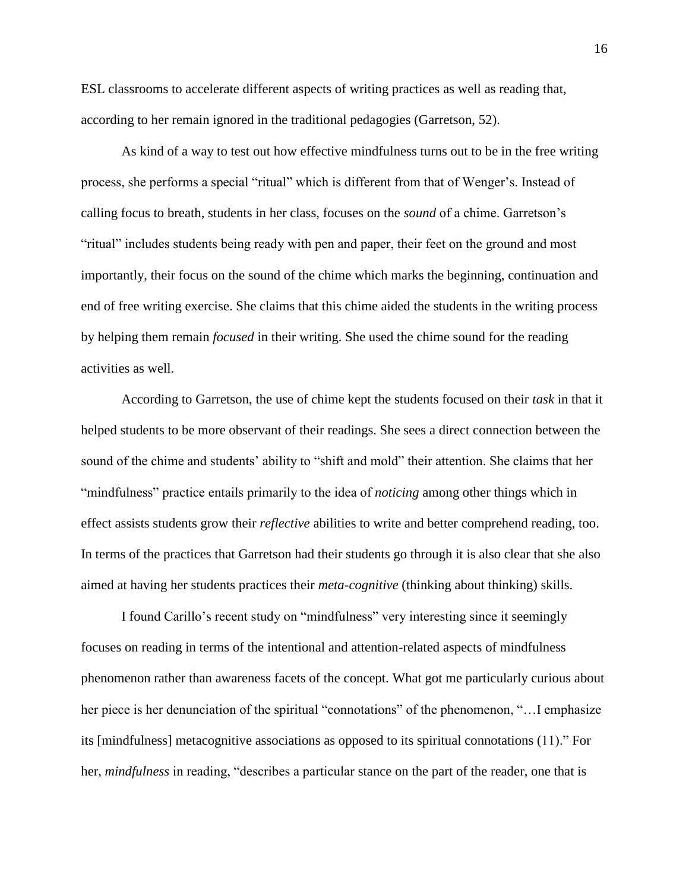ESL classrooms to accelerate different aspects of writing practices as well as reading that, according to her remain ignored in the traditional pedagogies (Garretson, 52).

As kind of a way to test out how effective mindfulness turns out to be in the free writing process, she performs a special "ritual" which is different from that of Wenger's. Instead of calling focus to breath, students in her class, focuses on the *sound* of a chime. Garretson's "ritual" includes students being ready with pen and paper, their feet on the ground and most importantly, their focus on the sound of the chime which marks the beginning, continuation and end of free writing exercise. She claims that this chime aided the students in the writing process by helping them remain *focused* in their writing. She used the chime sound for the reading activities as well.

According to Garretson, the use of chime kept the students focused on their *task* in that it helped students to be more observant of their readings. She sees a direct connection between the sound of the chime and students' ability to "shift and mold" their attention. She claims that her "mindfulness" practice entails primarily to the idea of *noticing* among other things which in effect assists students grow their *reflective* abilities to write and better comprehend reading, too. In terms of the practices that Garretson had their students go through it is also clear that she also aimed at having her students practices their *meta-cognitive* (thinking about thinking) skills.

I found Carillo's recent study on "mindfulness" very interesting since it seemingly focuses on reading in terms of the intentional and attention-related aspects of mindfulness phenomenon rather than awareness facets of the concept. What got me particularly curious about her piece is her denunciation of the spiritual "connotations" of the phenomenon, "... I emphasize its [mindfulness] metacognitive associations as opposed to its spiritual connotations (11)." For her, *mindfulness* in reading, "describes a particular stance on the part of the reader, one that is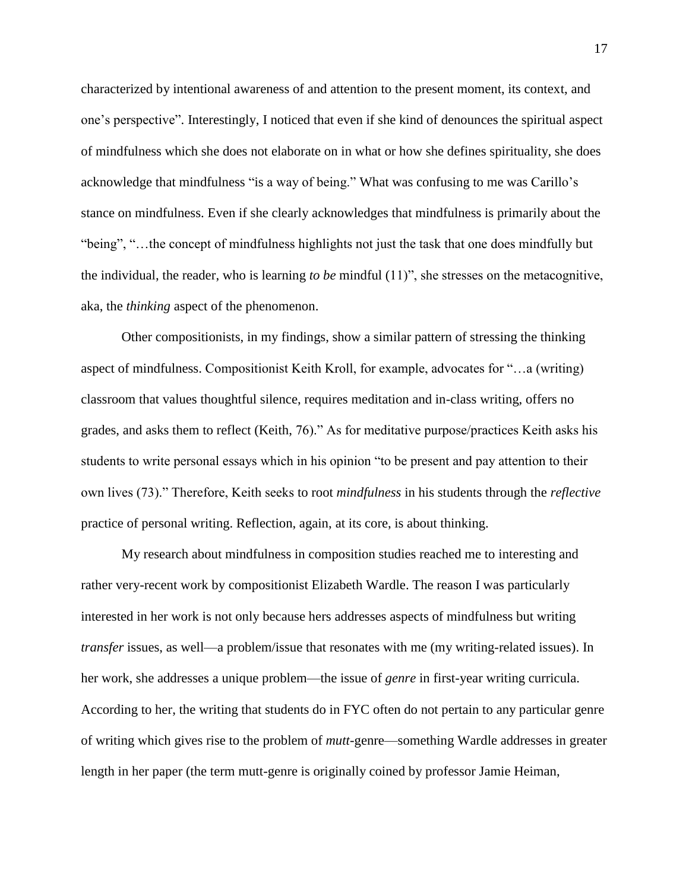characterized by intentional awareness of and attention to the present moment, its context, and one's perspective". Interestingly, I noticed that even if she kind of denounces the spiritual aspect of mindfulness which she does not elaborate on in what or how she defines spirituality, she does acknowledge that mindfulness "is a way of being." What was confusing to me was Carillo's stance on mindfulness. Even if she clearly acknowledges that mindfulness is primarily about the "being", "…the concept of mindfulness highlights not just the task that one does mindfully but the individual, the reader, who is learning *to be* mindful (11)", she stresses on the metacognitive, aka, the *thinking* aspect of the phenomenon.

Other compositionists, in my findings, show a similar pattern of stressing the thinking aspect of mindfulness. Compositionist Keith Kroll, for example, advocates for "…a (writing) classroom that values thoughtful silence, requires meditation and in-class writing, offers no grades, and asks them to reflect (Keith, 76)." As for meditative purpose/practices Keith asks his students to write personal essays which in his opinion "to be present and pay attention to their own lives (73)." Therefore, Keith seeks to root *mindfulness* in his students through the *reflective* practice of personal writing. Reflection, again, at its core, is about thinking.

My research about mindfulness in composition studies reached me to interesting and rather very-recent work by compositionist Elizabeth Wardle. The reason I was particularly interested in her work is not only because hers addresses aspects of mindfulness but writing *transfer* issues, as well—a problem/issue that resonates with me (my writing-related issues). In her work, she addresses a unique problem—the issue of *genre* in first-year writing curricula. According to her, the writing that students do in FYC often do not pertain to any particular genre of writing which gives rise to the problem of *mutt*-genre—something Wardle addresses in greater length in her paper (the term mutt-genre is originally coined by professor Jamie Heiman,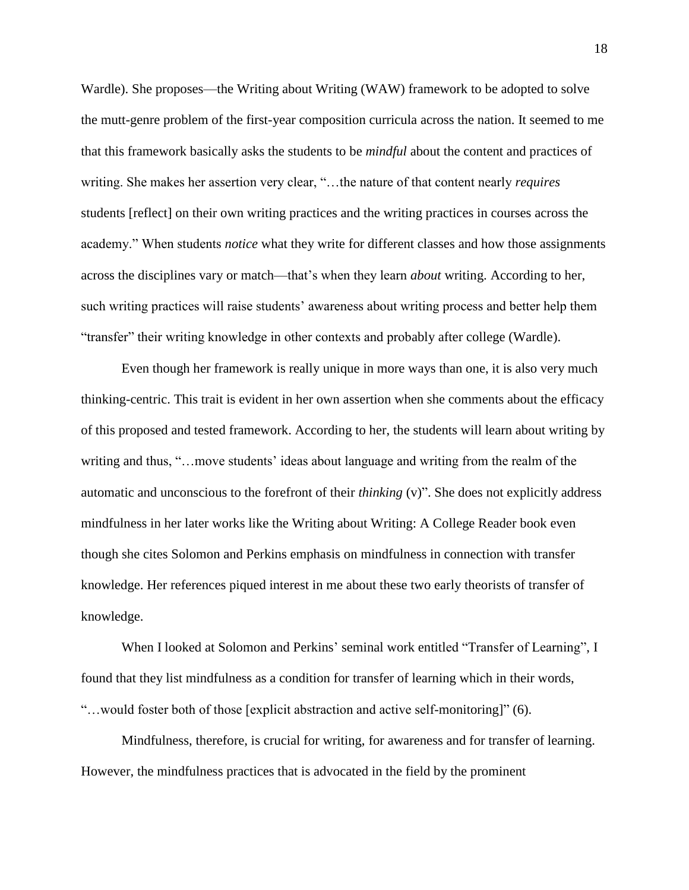Wardle). She proposes—the Writing about Writing (WAW) framework to be adopted to solve the mutt-genre problem of the first-year composition curricula across the nation. It seemed to me that this framework basically asks the students to be *mindful* about the content and practices of writing. She makes her assertion very clear, "…the nature of that content nearly *requires* students [reflect] on their own writing practices and the writing practices in courses across the academy." When students *notice* what they write for different classes and how those assignments across the disciplines vary or match—that's when they learn *about* writing. According to her, such writing practices will raise students' awareness about writing process and better help them "transfer" their writing knowledge in other contexts and probably after college (Wardle).

Even though her framework is really unique in more ways than one, it is also very much thinking-centric. This trait is evident in her own assertion when she comments about the efficacy of this proposed and tested framework. According to her, the students will learn about writing by writing and thus, "…move students' ideas about language and writing from the realm of the automatic and unconscious to the forefront of their *thinking* (v)". She does not explicitly address mindfulness in her later works like the Writing about Writing: A College Reader book even though she cites Solomon and Perkins emphasis on mindfulness in connection with transfer knowledge. Her references piqued interest in me about these two early theorists of transfer of knowledge.

When I looked at Solomon and Perkins' seminal work entitled "Transfer of Learning", I found that they list mindfulness as a condition for transfer of learning which in their words, "…would foster both of those [explicit abstraction and active self-monitoring]" (6).

Mindfulness, therefore, is crucial for writing, for awareness and for transfer of learning. However, the mindfulness practices that is advocated in the field by the prominent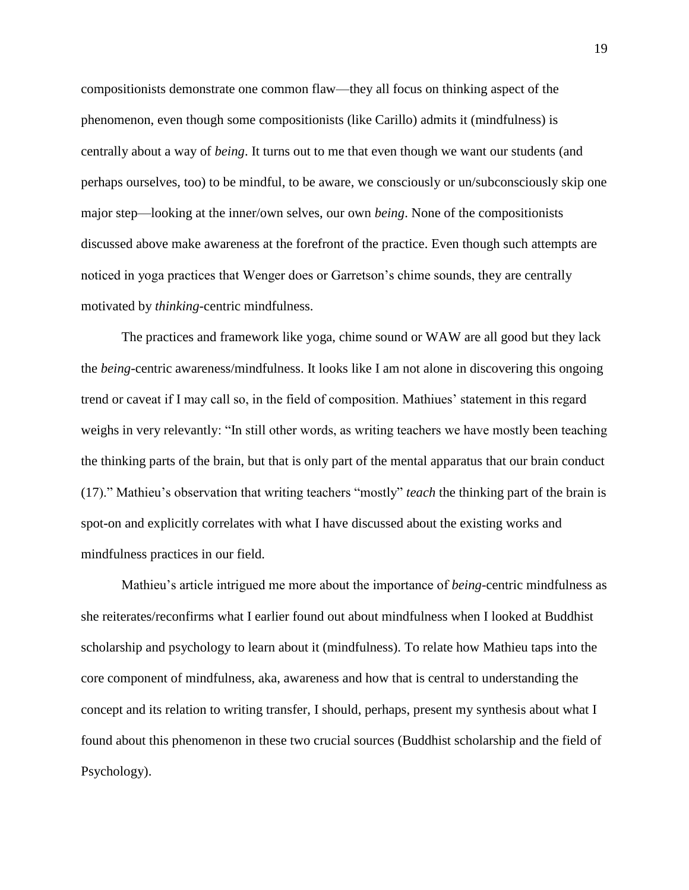compositionists demonstrate one common flaw—they all focus on thinking aspect of the phenomenon, even though some compositionists (like Carillo) admits it (mindfulness) is centrally about a way of *being*. It turns out to me that even though we want our students (and perhaps ourselves, too) to be mindful, to be aware, we consciously or un/subconsciously skip one major step—looking at the inner/own selves, our own *being*. None of the compositionists discussed above make awareness at the forefront of the practice. Even though such attempts are noticed in yoga practices that Wenger does or Garretson's chime sounds, they are centrally motivated by *thinking*-centric mindfulness.

The practices and framework like yoga, chime sound or WAW are all good but they lack the *being*-centric awareness/mindfulness. It looks like I am not alone in discovering this ongoing trend or caveat if I may call so, in the field of composition. Mathiues' statement in this regard weighs in very relevantly: "In still other words, as writing teachers we have mostly been teaching the thinking parts of the brain, but that is only part of the mental apparatus that our brain conduct (17)." Mathieu's observation that writing teachers "mostly" *teach* the thinking part of the brain is spot-on and explicitly correlates with what I have discussed about the existing works and mindfulness practices in our field.

Mathieu's article intrigued me more about the importance of *being*-centric mindfulness as she reiterates/reconfirms what I earlier found out about mindfulness when I looked at Buddhist scholarship and psychology to learn about it (mindfulness). To relate how Mathieu taps into the core component of mindfulness, aka, awareness and how that is central to understanding the concept and its relation to writing transfer, I should, perhaps, present my synthesis about what I found about this phenomenon in these two crucial sources (Buddhist scholarship and the field of Psychology).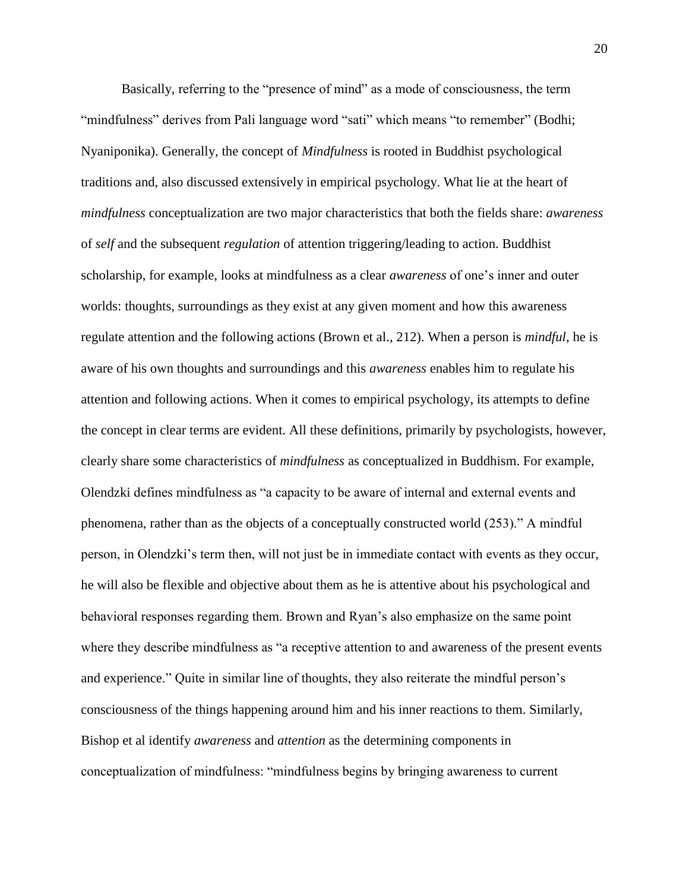Basically, referring to the "presence of mind" as a mode of consciousness, the term "mindfulness" derives from Pali language word "sati" which means "to remember" (Bodhi; Nyaniponika). Generally, the concept of *Mindfulness* is rooted in Buddhist psychological traditions and, also discussed extensively in empirical psychology. What lie at the heart of *mindfulness* conceptualization are two major characteristics that both the fields share: *awareness* of *self* and the subsequent *regulation* of attention triggering/leading to action. Buddhist scholarship, for example, looks at mindfulness as a clear *awareness* of one's inner and outer worlds: thoughts, surroundings as they exist at any given moment and how this awareness regulate attention and the following actions (Brown et al., 212). When a person is *mindful*, he is aware of his own thoughts and surroundings and this *awareness* enables him to regulate his attention and following actions. When it comes to empirical psychology, its attempts to define the concept in clear terms are evident. All these definitions, primarily by psychologists, however, clearly share some characteristics of *mindfulness* as conceptualized in Buddhism. For example, Olendzki defines mindfulness as "a capacity to be aware of internal and external events and phenomena, rather than as the objects of a conceptually constructed world (253)." A mindful person, in Olendzki's term then, will not just be in immediate contact with events as they occur, he will also be flexible and objective about them as he is attentive about his psychological and behavioral responses regarding them. Brown and Ryan's also emphasize on the same point where they describe mindfulness as "a receptive attention to and awareness of the present events and experience." Quite in similar line of thoughts, they also reiterate the mindful person's consciousness of the things happening around him and his inner reactions to them. Similarly, Bishop et al identify *awareness* and *attention* as the determining components in conceptualization of mindfulness: "mindfulness begins by bringing awareness to current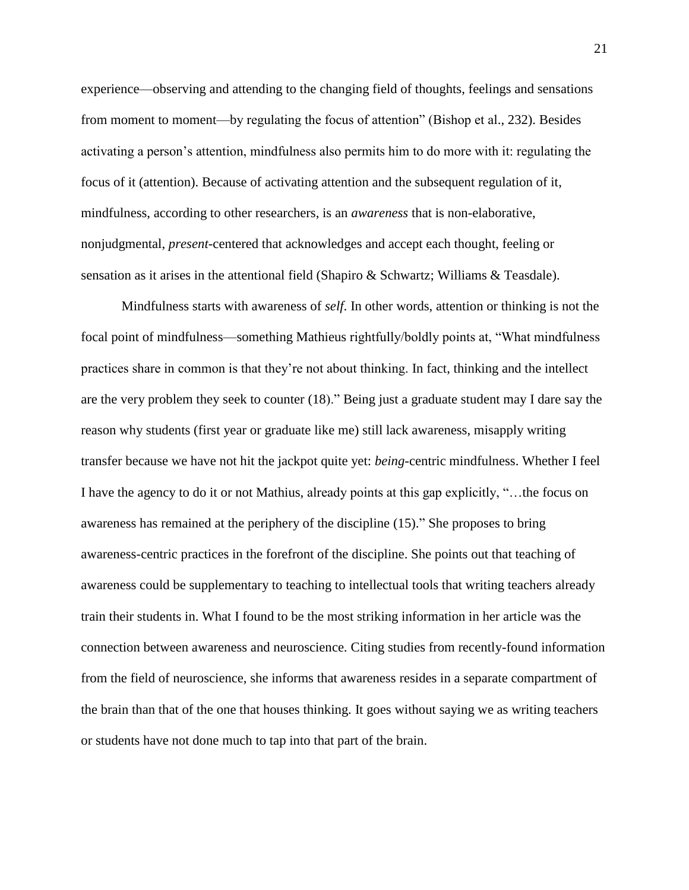experience—observing and attending to the changing field of thoughts, feelings and sensations from moment to moment—by regulating the focus of attention" (Bishop et al., 232). Besides activating a person's attention, mindfulness also permits him to do more with it: regulating the focus of it (attention). Because of activating attention and the subsequent regulation of it, mindfulness, according to other researchers, is an *awareness* that is non-elaborative, nonjudgmental, *present*-centered that acknowledges and accept each thought, feeling or sensation as it arises in the attentional field (Shapiro & Schwartz; Williams & Teasdale).

Mindfulness starts with awareness of *self*. In other words, attention or thinking is not the focal point of mindfulness—something Mathieus rightfully/boldly points at, "What mindfulness practices share in common is that they're not about thinking. In fact, thinking and the intellect are the very problem they seek to counter (18)." Being just a graduate student may I dare say the reason why students (first year or graduate like me) still lack awareness, misapply writing transfer because we have not hit the jackpot quite yet: *being*-centric mindfulness. Whether I feel I have the agency to do it or not Mathius, already points at this gap explicitly, "…the focus on awareness has remained at the periphery of the discipline (15)." She proposes to bring awareness-centric practices in the forefront of the discipline. She points out that teaching of awareness could be supplementary to teaching to intellectual tools that writing teachers already train their students in. What I found to be the most striking information in her article was the connection between awareness and neuroscience. Citing studies from recently-found information from the field of neuroscience, she informs that awareness resides in a separate compartment of the brain than that of the one that houses thinking. It goes without saying we as writing teachers or students have not done much to tap into that part of the brain.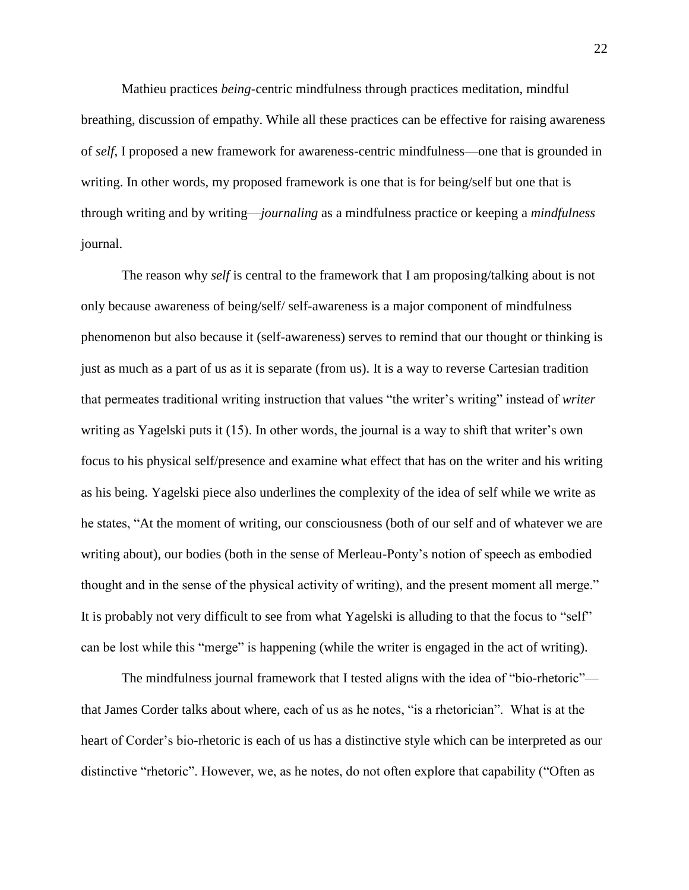Mathieu practices *being*-centric mindfulness through practices meditation, mindful breathing, discussion of empathy. While all these practices can be effective for raising awareness of *self*, I proposed a new framework for awareness-centric mindfulness—one that is grounded in writing. In other words, my proposed framework is one that is for being/self but one that is through writing and by writing—*journaling* as a mindfulness practice or keeping a *mindfulness* journal.

The reason why *self* is central to the framework that I am proposing/talking about is not only because awareness of being/self/ self-awareness is a major component of mindfulness phenomenon but also because it (self-awareness) serves to remind that our thought or thinking is just as much as a part of us as it is separate (from us). It is a way to reverse Cartesian tradition that permeates traditional writing instruction that values "the writer's writing" instead of *writer* writing as Yagelski puts it (15). In other words, the journal is a way to shift that writer's own focus to his physical self/presence and examine what effect that has on the writer and his writing as his being. Yagelski piece also underlines the complexity of the idea of self while we write as he states, "At the moment of writing, our consciousness (both of our self and of whatever we are writing about), our bodies (both in the sense of Merleau-Ponty's notion of speech as embodied thought and in the sense of the physical activity of writing), and the present moment all merge." It is probably not very difficult to see from what Yagelski is alluding to that the focus to "self" can be lost while this "merge" is happening (while the writer is engaged in the act of writing).

The mindfulness journal framework that I tested aligns with the idea of "bio-rhetoric" that James Corder talks about where, each of us as he notes, "is a rhetorician". What is at the heart of Corder's bio-rhetoric is each of us has a distinctive style which can be interpreted as our distinctive "rhetoric". However, we, as he notes, do not often explore that capability ("Often as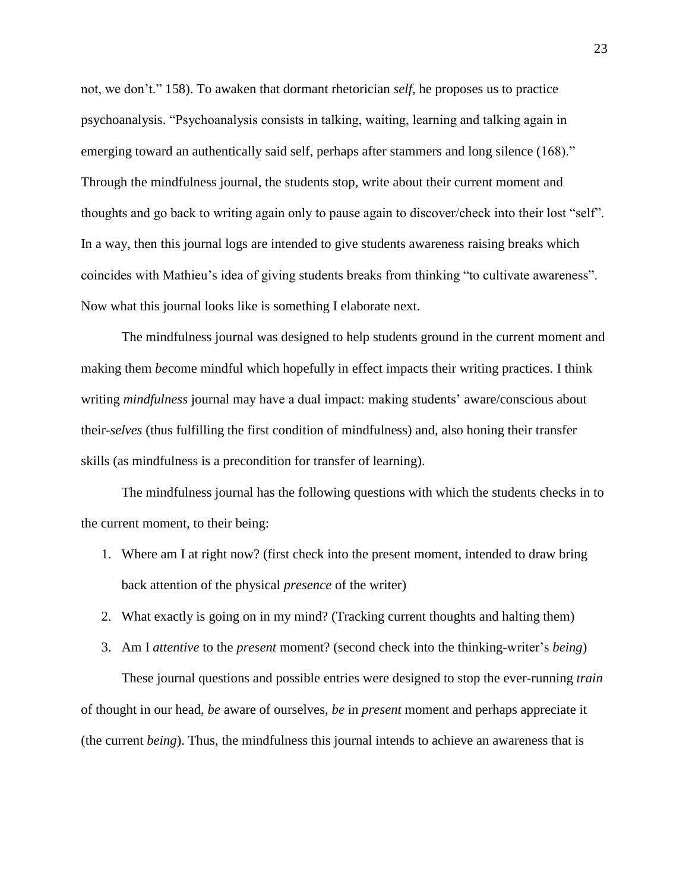not, we don't." 158). To awaken that dormant rhetorician *self*, he proposes us to practice psychoanalysis. "Psychoanalysis consists in talking, waiting, learning and talking again in emerging toward an authentically said self, perhaps after stammers and long silence (168)." Through the mindfulness journal, the students stop, write about their current moment and thoughts and go back to writing again only to pause again to discover/check into their lost "self". In a way, then this journal logs are intended to give students awareness raising breaks which coincides with Mathieu's idea of giving students breaks from thinking "to cultivate awareness". Now what this journal looks like is something I elaborate next.

The mindfulness journal was designed to help students ground in the current moment and making them *be*come mindful which hopefully in effect impacts their writing practices. I think writing *mindfulness* journal may have a dual impact: making students' aware/conscious about their-*selves* (thus fulfilling the first condition of mindfulness) and, also honing their transfer skills (as mindfulness is a precondition for transfer of learning).

The mindfulness journal has the following questions with which the students checks in to the current moment, to their being:

- 1. Where am I at right now? (first check into the present moment, intended to draw bring back attention of the physical *presence* of the writer)
- 2. What exactly is going on in my mind? (Tracking current thoughts and halting them)
- 3. Am I *attentive* to the *present* moment? (second check into the thinking-writer's *being*)

These journal questions and possible entries were designed to stop the ever-running *train* of thought in our head, *be* aware of ourselves, *be* in *present* moment and perhaps appreciate it (the current *being*). Thus, the mindfulness this journal intends to achieve an awareness that is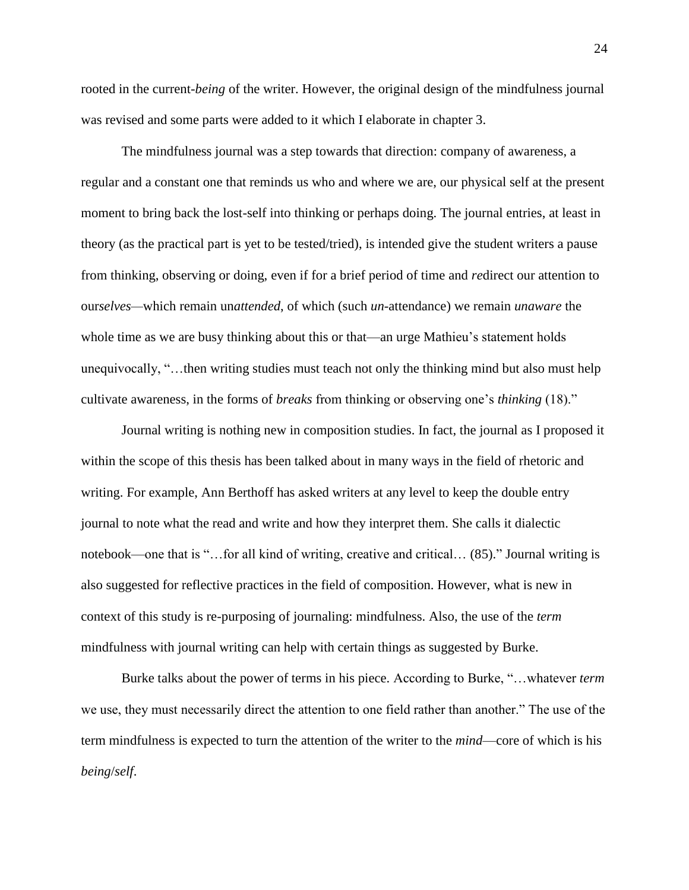rooted in the current-*being* of the writer. However, the original design of the mindfulness journal was revised and some parts were added to it which I elaborate in chapter 3.

The mindfulness journal was a step towards that direction: company of awareness, a regular and a constant one that reminds us who and where we are, our physical self at the present moment to bring back the lost-self into thinking or perhaps doing. The journal entries, at least in theory (as the practical part is yet to be tested/tried), is intended give the student writers a pause from thinking, observing or doing, even if for a brief period of time and *re*direct our attention to our*selves—*which remain un*attended*, of which (such *un*-attendance) we remain *unaware* the whole time as we are busy thinking about this or that—an urge Mathieu's statement holds unequivocally, "…then writing studies must teach not only the thinking mind but also must help cultivate awareness, in the forms of *breaks* from thinking or observing one's *thinking* (18)."

Journal writing is nothing new in composition studies. In fact, the journal as I proposed it within the scope of this thesis has been talked about in many ways in the field of rhetoric and writing. For example, Ann Berthoff has asked writers at any level to keep the double entry journal to note what the read and write and how they interpret them. She calls it dialectic notebook—one that is "…for all kind of writing, creative and critical… (85)." Journal writing is also suggested for reflective practices in the field of composition. However, what is new in context of this study is re-purposing of journaling: mindfulness. Also, the use of the *term* mindfulness with journal writing can help with certain things as suggested by Burke.

Burke talks about the power of terms in his piece. According to Burke, "…whatever *term* we use, they must necessarily direct the attention to one field rather than another." The use of the term mindfulness is expected to turn the attention of the writer to the *mind*—core of which is his *being*/*self*.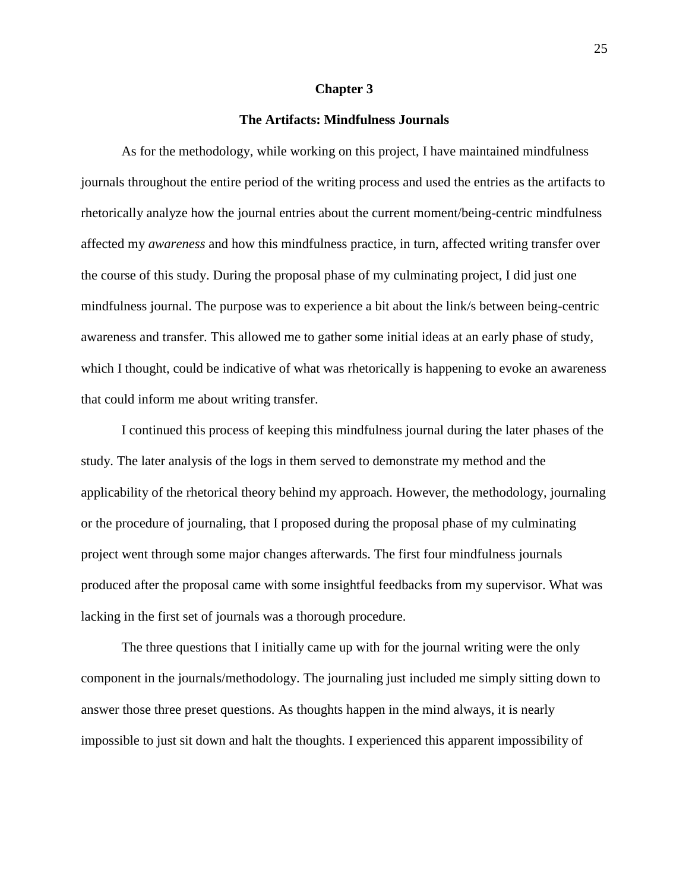#### **Chapter 3**

## **The Artifacts: Mindfulness Journals**

As for the methodology, while working on this project, I have maintained mindfulness journals throughout the entire period of the writing process and used the entries as the artifacts to rhetorically analyze how the journal entries about the current moment/being-centric mindfulness affected my *awareness* and how this mindfulness practice, in turn, affected writing transfer over the course of this study. During the proposal phase of my culminating project, I did just one mindfulness journal. The purpose was to experience a bit about the link/s between being-centric awareness and transfer. This allowed me to gather some initial ideas at an early phase of study, which I thought, could be indicative of what was rhetorically is happening to evoke an awareness that could inform me about writing transfer.

I continued this process of keeping this mindfulness journal during the later phases of the study. The later analysis of the logs in them served to demonstrate my method and the applicability of the rhetorical theory behind my approach. However, the methodology, journaling or the procedure of journaling, that I proposed during the proposal phase of my culminating project went through some major changes afterwards. The first four mindfulness journals produced after the proposal came with some insightful feedbacks from my supervisor. What was lacking in the first set of journals was a thorough procedure.

The three questions that I initially came up with for the journal writing were the only component in the journals/methodology. The journaling just included me simply sitting down to answer those three preset questions. As thoughts happen in the mind always, it is nearly impossible to just sit down and halt the thoughts. I experienced this apparent impossibility of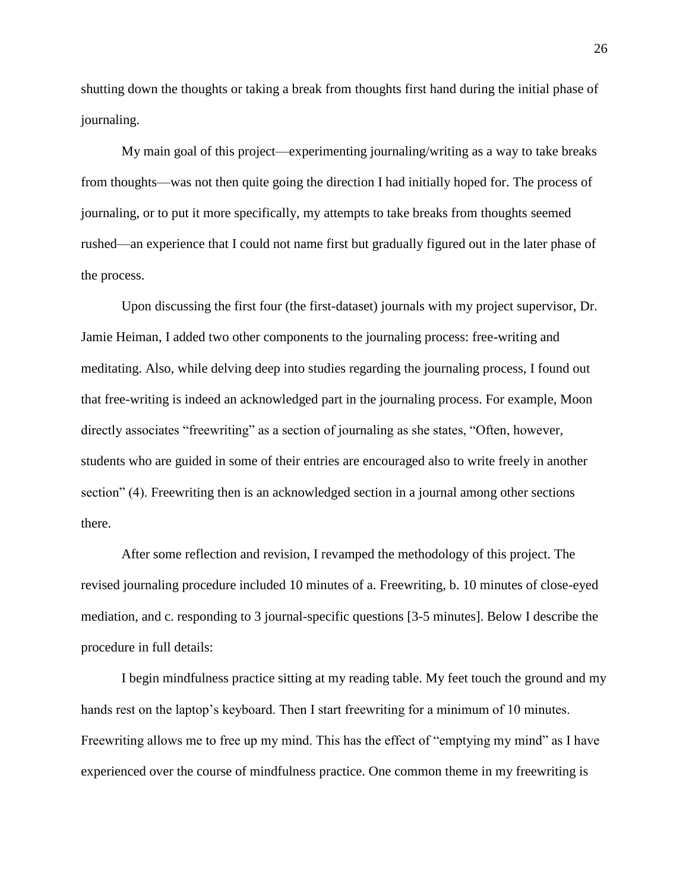shutting down the thoughts or taking a break from thoughts first hand during the initial phase of journaling.

My main goal of this project—experimenting journaling/writing as a way to take breaks from thoughts—was not then quite going the direction I had initially hoped for. The process of journaling, or to put it more specifically, my attempts to take breaks from thoughts seemed rushed—an experience that I could not name first but gradually figured out in the later phase of the process.

Upon discussing the first four (the first-dataset) journals with my project supervisor, Dr. Jamie Heiman, I added two other components to the journaling process: free-writing and meditating. Also, while delving deep into studies regarding the journaling process, I found out that free-writing is indeed an acknowledged part in the journaling process. For example, Moon directly associates "freewriting" as a section of journaling as she states, "Often, however, students who are guided in some of their entries are encouraged also to write freely in another section" (4). Freewriting then is an acknowledged section in a journal among other sections there.

After some reflection and revision, I revamped the methodology of this project. The revised journaling procedure included 10 minutes of a. Freewriting, b. 10 minutes of close-eyed mediation, and c. responding to 3 journal-specific questions [3-5 minutes]. Below I describe the procedure in full details:

I begin mindfulness practice sitting at my reading table. My feet touch the ground and my hands rest on the laptop's keyboard. Then I start freewriting for a minimum of 10 minutes. Freewriting allows me to free up my mind. This has the effect of "emptying my mind" as I have experienced over the course of mindfulness practice. One common theme in my freewriting is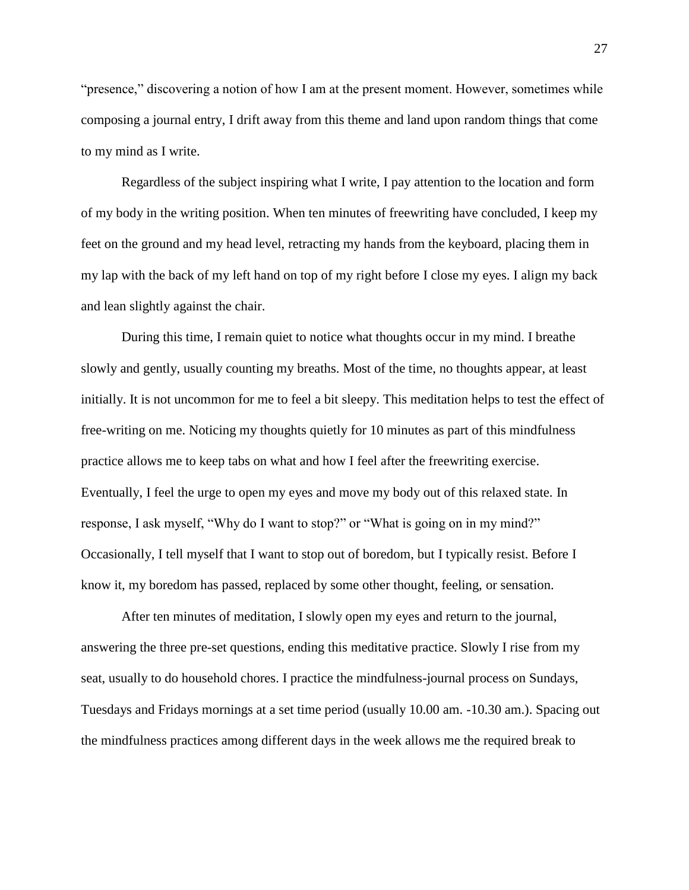"presence," discovering a notion of how I am at the present moment. However, sometimes while composing a journal entry, I drift away from this theme and land upon random things that come to my mind as I write.

Regardless of the subject inspiring what I write, I pay attention to the location and form of my body in the writing position. When ten minutes of freewriting have concluded, I keep my feet on the ground and my head level, retracting my hands from the keyboard, placing them in my lap with the back of my left hand on top of my right before I close my eyes. I align my back and lean slightly against the chair.

During this time, I remain quiet to notice what thoughts occur in my mind. I breathe slowly and gently, usually counting my breaths. Most of the time, no thoughts appear, at least initially. It is not uncommon for me to feel a bit sleepy. This meditation helps to test the effect of free-writing on me. Noticing my thoughts quietly for 10 minutes as part of this mindfulness practice allows me to keep tabs on what and how I feel after the freewriting exercise. Eventually, I feel the urge to open my eyes and move my body out of this relaxed state. In response, I ask myself, "Why do I want to stop?" or "What is going on in my mind?" Occasionally, I tell myself that I want to stop out of boredom, but I typically resist. Before I know it, my boredom has passed, replaced by some other thought, feeling, or sensation.

After ten minutes of meditation, I slowly open my eyes and return to the journal, answering the three pre-set questions, ending this meditative practice. Slowly I rise from my seat, usually to do household chores. I practice the mindfulness-journal process on Sundays, Tuesdays and Fridays mornings at a set time period (usually 10.00 am. -10.30 am.). Spacing out the mindfulness practices among different days in the week allows me the required break to

27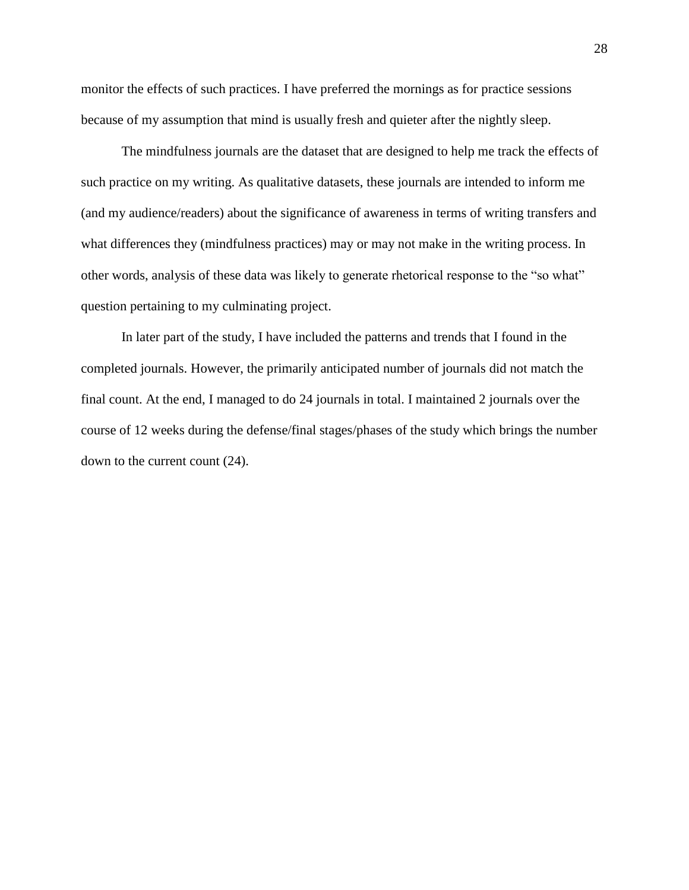monitor the effects of such practices. I have preferred the mornings as for practice sessions because of my assumption that mind is usually fresh and quieter after the nightly sleep.

The mindfulness journals are the dataset that are designed to help me track the effects of such practice on my writing. As qualitative datasets, these journals are intended to inform me (and my audience/readers) about the significance of awareness in terms of writing transfers and what differences they (mindfulness practices) may or may not make in the writing process. In other words, analysis of these data was likely to generate rhetorical response to the "so what" question pertaining to my culminating project.

In later part of the study, I have included the patterns and trends that I found in the completed journals. However, the primarily anticipated number of journals did not match the final count. At the end, I managed to do 24 journals in total. I maintained 2 journals over the course of 12 weeks during the defense/final stages/phases of the study which brings the number down to the current count (24).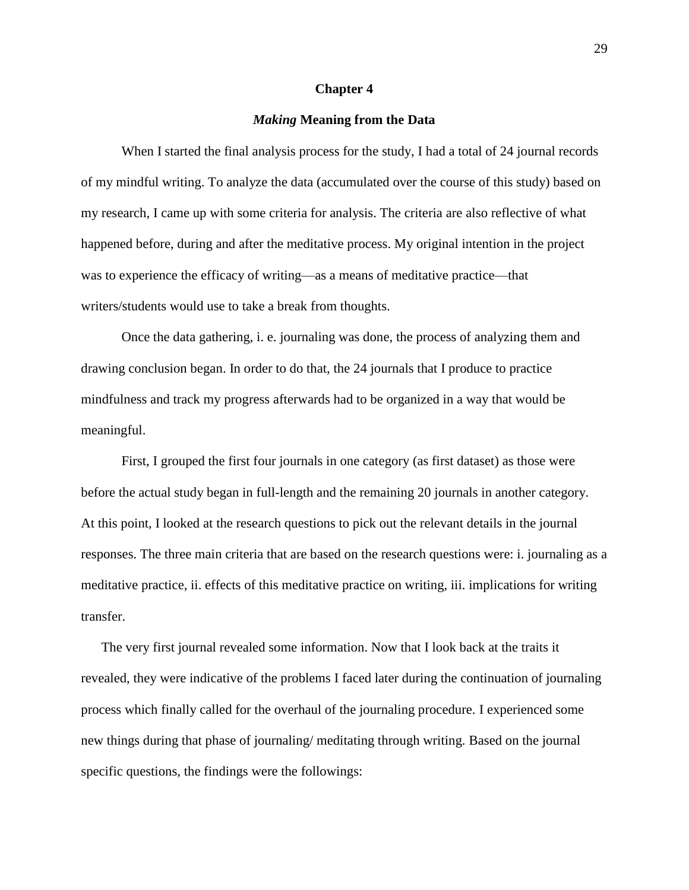#### **Chapter 4**

#### *Making* **Meaning from the Data**

When I started the final analysis process for the study, I had a total of 24 journal records of my mindful writing. To analyze the data (accumulated over the course of this study) based on my research, I came up with some criteria for analysis. The criteria are also reflective of what happened before, during and after the meditative process. My original intention in the project was to experience the efficacy of writing—as a means of meditative practice—that writers/students would use to take a break from thoughts.

Once the data gathering, i. e. journaling was done, the process of analyzing them and drawing conclusion began. In order to do that, the 24 journals that I produce to practice mindfulness and track my progress afterwards had to be organized in a way that would be meaningful.

First, I grouped the first four journals in one category (as first dataset) as those were before the actual study began in full-length and the remaining 20 journals in another category. At this point, I looked at the research questions to pick out the relevant details in the journal responses. The three main criteria that are based on the research questions were: i. journaling as a meditative practice, ii. effects of this meditative practice on writing, iii. implications for writing transfer.

The very first journal revealed some information. Now that I look back at the traits it revealed, they were indicative of the problems I faced later during the continuation of journaling process which finally called for the overhaul of the journaling procedure. I experienced some new things during that phase of journaling/ meditating through writing. Based on the journal specific questions, the findings were the followings: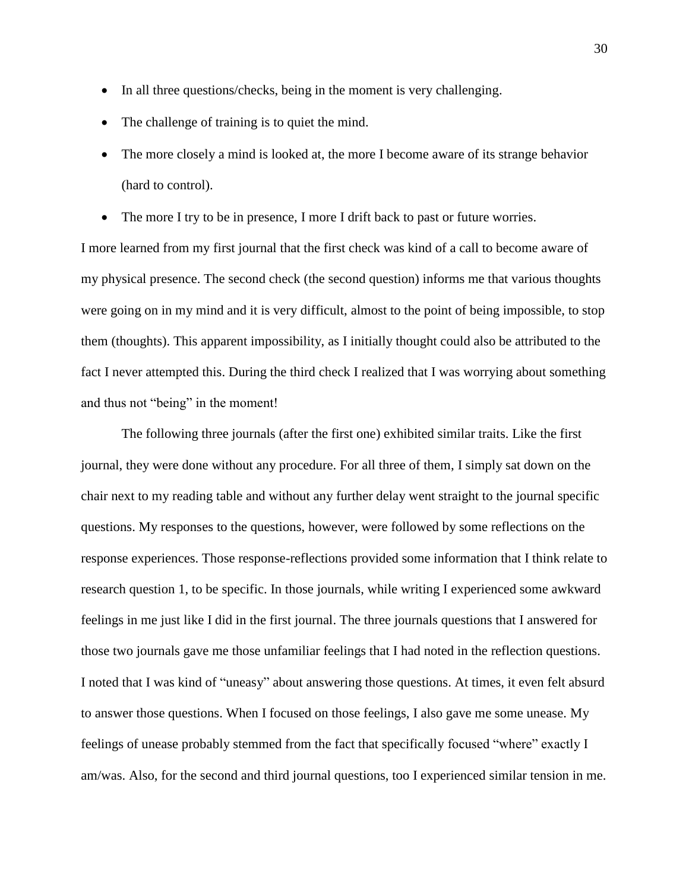- In all three questions/checks, being in the moment is very challenging.
- The challenge of training is to quiet the mind.
- The more closely a mind is looked at, the more I become aware of its strange behavior (hard to control).
- The more I try to be in presence, I more I drift back to past or future worries.

I more learned from my first journal that the first check was kind of a call to become aware of my physical presence. The second check (the second question) informs me that various thoughts were going on in my mind and it is very difficult, almost to the point of being impossible, to stop them (thoughts). This apparent impossibility, as I initially thought could also be attributed to the fact I never attempted this. During the third check I realized that I was worrying about something and thus not "being" in the moment!

The following three journals (after the first one) exhibited similar traits. Like the first journal, they were done without any procedure. For all three of them, I simply sat down on the chair next to my reading table and without any further delay went straight to the journal specific questions. My responses to the questions, however, were followed by some reflections on the response experiences. Those response-reflections provided some information that I think relate to research question 1, to be specific. In those journals, while writing I experienced some awkward feelings in me just like I did in the first journal. The three journals questions that I answered for those two journals gave me those unfamiliar feelings that I had noted in the reflection questions. I noted that I was kind of "uneasy" about answering those questions. At times, it even felt absurd to answer those questions. When I focused on those feelings, I also gave me some unease. My feelings of unease probably stemmed from the fact that specifically focused "where" exactly I am/was. Also, for the second and third journal questions, too I experienced similar tension in me.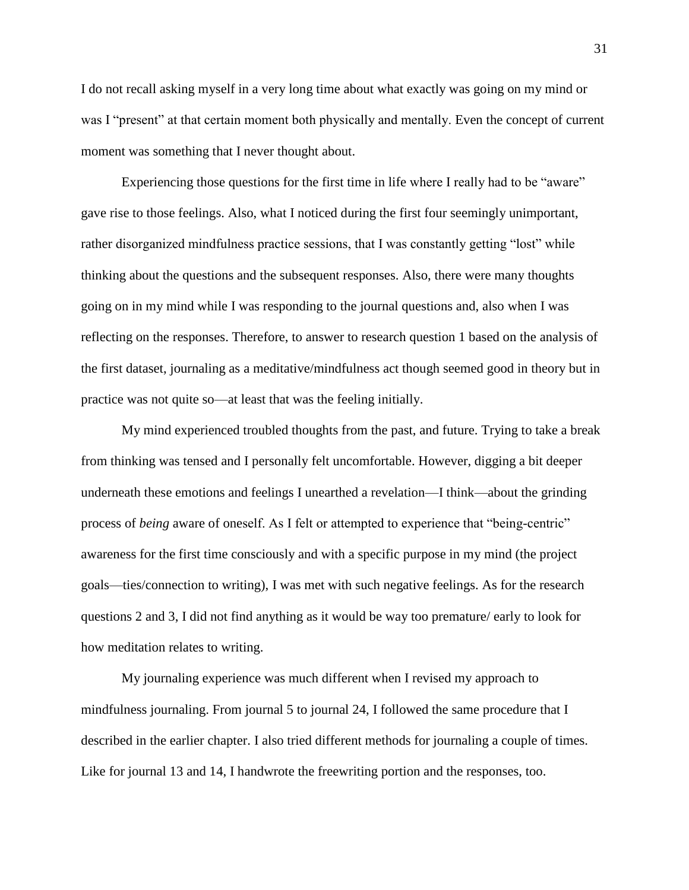I do not recall asking myself in a very long time about what exactly was going on my mind or was I "present" at that certain moment both physically and mentally. Even the concept of current moment was something that I never thought about.

Experiencing those questions for the first time in life where I really had to be "aware" gave rise to those feelings. Also, what I noticed during the first four seemingly unimportant, rather disorganized mindfulness practice sessions, that I was constantly getting "lost" while thinking about the questions and the subsequent responses. Also, there were many thoughts going on in my mind while I was responding to the journal questions and, also when I was reflecting on the responses. Therefore, to answer to research question 1 based on the analysis of the first dataset, journaling as a meditative/mindfulness act though seemed good in theory but in practice was not quite so—at least that was the feeling initially.

My mind experienced troubled thoughts from the past, and future. Trying to take a break from thinking was tensed and I personally felt uncomfortable. However, digging a bit deeper underneath these emotions and feelings I unearthed a revelation—I think—about the grinding process of *being* aware of oneself. As I felt or attempted to experience that "being-centric" awareness for the first time consciously and with a specific purpose in my mind (the project goals—ties/connection to writing), I was met with such negative feelings. As for the research questions 2 and 3, I did not find anything as it would be way too premature/ early to look for how meditation relates to writing.

My journaling experience was much different when I revised my approach to mindfulness journaling. From journal 5 to journal 24, I followed the same procedure that I described in the earlier chapter. I also tried different methods for journaling a couple of times. Like for journal 13 and 14, I handwrote the freewriting portion and the responses, too.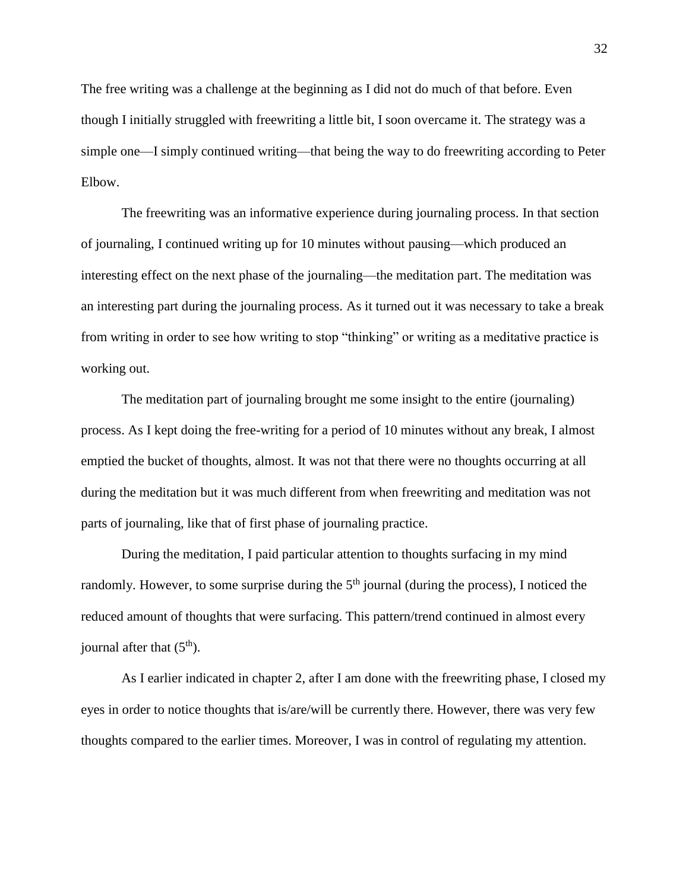The free writing was a challenge at the beginning as I did not do much of that before. Even though I initially struggled with freewriting a little bit, I soon overcame it. The strategy was a simple one—I simply continued writing—that being the way to do freewriting according to Peter Elbow.

The freewriting was an informative experience during journaling process. In that section of journaling, I continued writing up for 10 minutes without pausing—which produced an interesting effect on the next phase of the journaling—the meditation part. The meditation was an interesting part during the journaling process. As it turned out it was necessary to take a break from writing in order to see how writing to stop "thinking" or writing as a meditative practice is working out.

The meditation part of journaling brought me some insight to the entire (journaling) process. As I kept doing the free-writing for a period of 10 minutes without any break, I almost emptied the bucket of thoughts, almost. It was not that there were no thoughts occurring at all during the meditation but it was much different from when freewriting and meditation was not parts of journaling, like that of first phase of journaling practice.

During the meditation, I paid particular attention to thoughts surfacing in my mind randomly. However, to some surprise during the  $5<sup>th</sup>$  journal (during the process), I noticed the reduced amount of thoughts that were surfacing. This pattern/trend continued in almost every journal after that  $(5<sup>th</sup>)$ .

As I earlier indicated in chapter 2, after I am done with the freewriting phase, I closed my eyes in order to notice thoughts that is/are/will be currently there. However, there was very few thoughts compared to the earlier times. Moreover, I was in control of regulating my attention.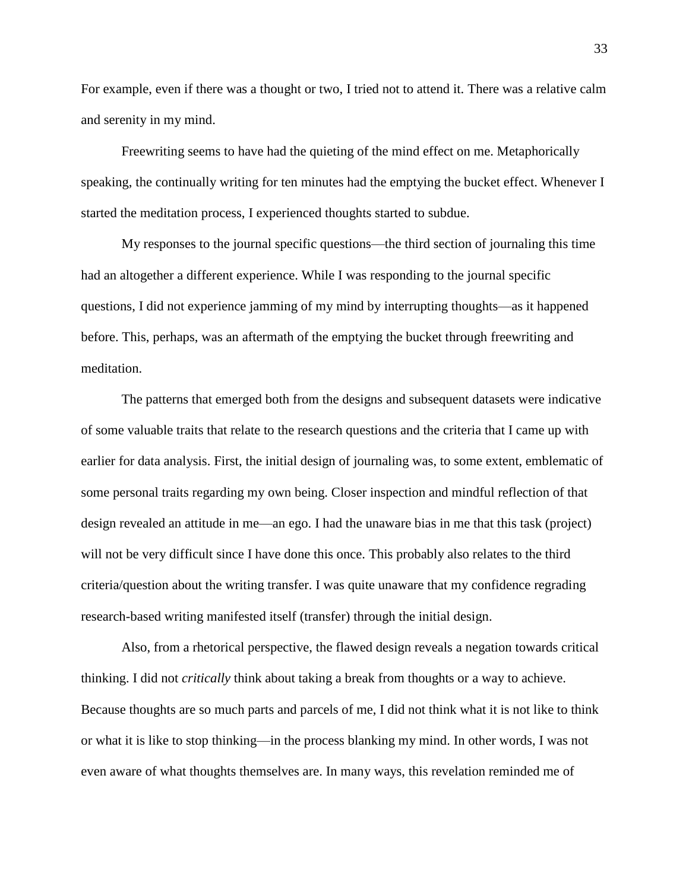For example, even if there was a thought or two, I tried not to attend it. There was a relative calm and serenity in my mind.

Freewriting seems to have had the quieting of the mind effect on me. Metaphorically speaking, the continually writing for ten minutes had the emptying the bucket effect. Whenever I started the meditation process, I experienced thoughts started to subdue.

My responses to the journal specific questions—the third section of journaling this time had an altogether a different experience. While I was responding to the journal specific questions, I did not experience jamming of my mind by interrupting thoughts—as it happened before. This, perhaps, was an aftermath of the emptying the bucket through freewriting and meditation.

The patterns that emerged both from the designs and subsequent datasets were indicative of some valuable traits that relate to the research questions and the criteria that I came up with earlier for data analysis. First, the initial design of journaling was, to some extent, emblematic of some personal traits regarding my own being. Closer inspection and mindful reflection of that design revealed an attitude in me—an ego. I had the unaware bias in me that this task (project) will not be very difficult since I have done this once. This probably also relates to the third criteria/question about the writing transfer. I was quite unaware that my confidence regrading research-based writing manifested itself (transfer) through the initial design.

Also, from a rhetorical perspective, the flawed design reveals a negation towards critical thinking. I did not *critically* think about taking a break from thoughts or a way to achieve. Because thoughts are so much parts and parcels of me, I did not think what it is not like to think or what it is like to stop thinking—in the process blanking my mind. In other words, I was not even aware of what thoughts themselves are. In many ways, this revelation reminded me of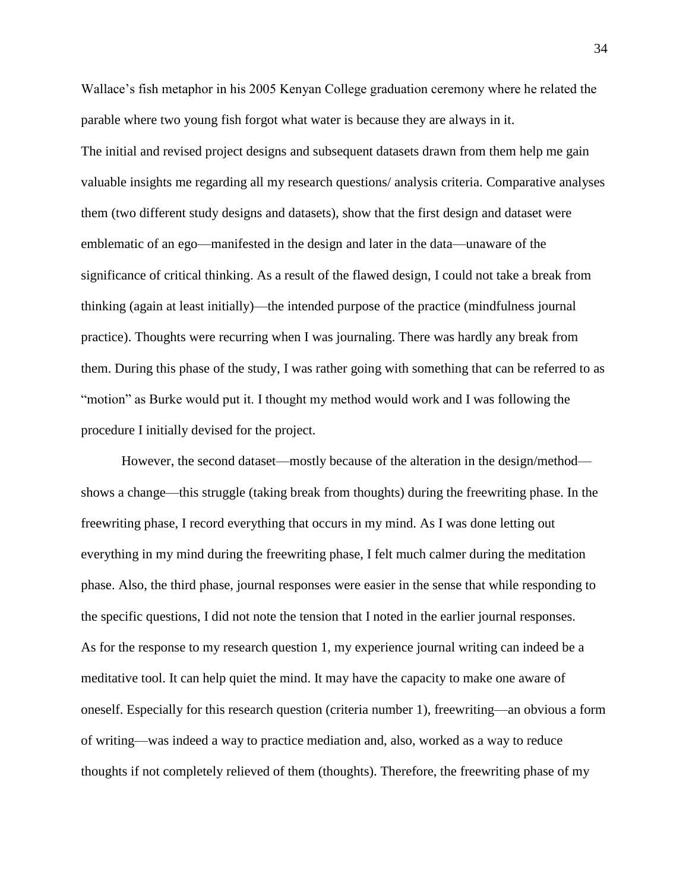Wallace's fish metaphor in his 2005 Kenyan College graduation ceremony where he related the parable where two young fish forgot what water is because they are always in it. The initial and revised project designs and subsequent datasets drawn from them help me gain valuable insights me regarding all my research questions/ analysis criteria. Comparative analyses them (two different study designs and datasets), show that the first design and dataset were emblematic of an ego—manifested in the design and later in the data—unaware of the significance of critical thinking. As a result of the flawed design, I could not take a break from thinking (again at least initially)—the intended purpose of the practice (mindfulness journal practice). Thoughts were recurring when I was journaling. There was hardly any break from them. During this phase of the study, I was rather going with something that can be referred to as "motion" as Burke would put it. I thought my method would work and I was following the procedure I initially devised for the project.

However, the second dataset—mostly because of the alteration in the design/method shows a change—this struggle (taking break from thoughts) during the freewriting phase. In the freewriting phase, I record everything that occurs in my mind. As I was done letting out everything in my mind during the freewriting phase, I felt much calmer during the meditation phase. Also, the third phase, journal responses were easier in the sense that while responding to the specific questions, I did not note the tension that I noted in the earlier journal responses. As for the response to my research question 1, my experience journal writing can indeed be a meditative tool. It can help quiet the mind. It may have the capacity to make one aware of oneself. Especially for this research question (criteria number 1), freewriting—an obvious a form of writing—was indeed a way to practice mediation and, also, worked as a way to reduce thoughts if not completely relieved of them (thoughts). Therefore, the freewriting phase of my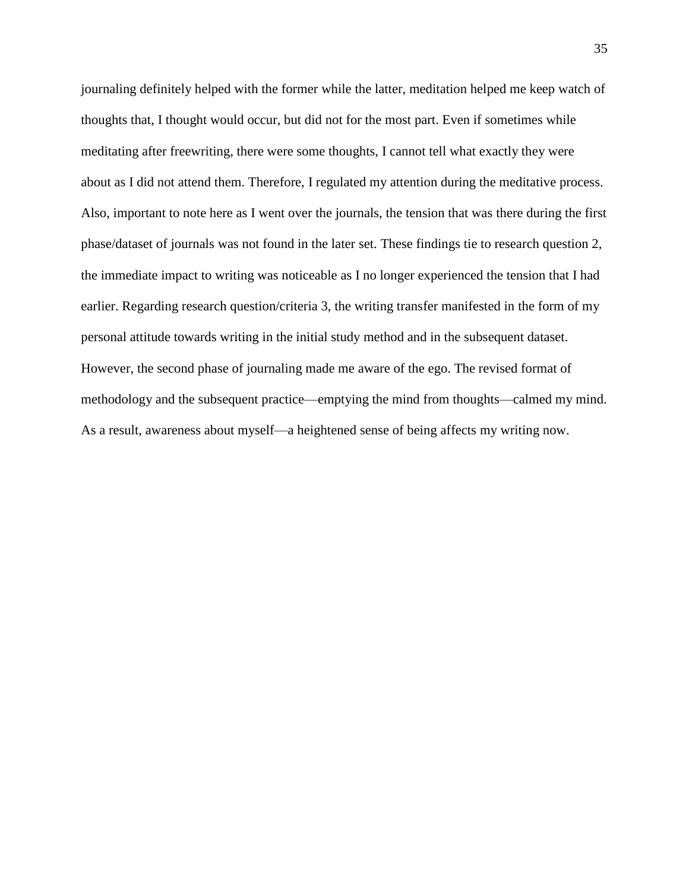journaling definitely helped with the former while the latter, meditation helped me keep watch of thoughts that, I thought would occur, but did not for the most part. Even if sometimes while meditating after freewriting, there were some thoughts, I cannot tell what exactly they were about as I did not attend them. Therefore, I regulated my attention during the meditative process. Also, important to note here as I went over the journals, the tension that was there during the first phase/dataset of journals was not found in the later set. These findings tie to research question 2, the immediate impact to writing was noticeable as I no longer experienced the tension that I had earlier. Regarding research question/criteria 3, the writing transfer manifested in the form of my personal attitude towards writing in the initial study method and in the subsequent dataset. However, the second phase of journaling made me aware of the ego. The revised format of methodology and the subsequent practice—emptying the mind from thoughts—calmed my mind. As a result, awareness about myself—a heightened sense of being affects my writing now.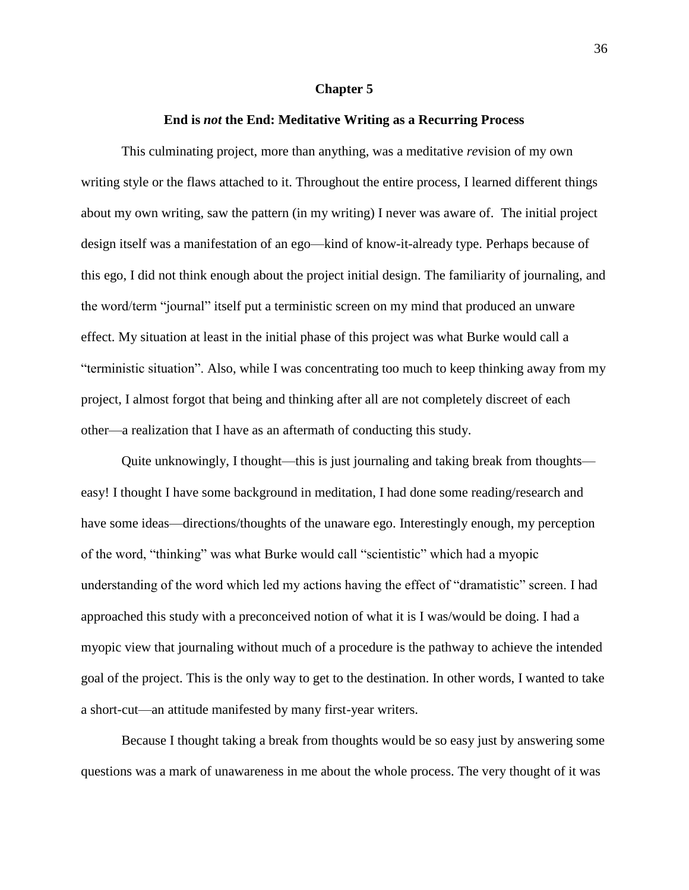#### **Chapter 5**

### **End is** *not* **the End: Meditative Writing as a Recurring Process**

This culminating project, more than anything, was a meditative *re*vision of my own writing style or the flaws attached to it. Throughout the entire process, I learned different things about my own writing, saw the pattern (in my writing) I never was aware of. The initial project design itself was a manifestation of an ego—kind of know-it-already type. Perhaps because of this ego, I did not think enough about the project initial design. The familiarity of journaling, and the word/term "journal" itself put a terministic screen on my mind that produced an unware effect. My situation at least in the initial phase of this project was what Burke would call a "terministic situation". Also, while I was concentrating too much to keep thinking away from my project, I almost forgot that being and thinking after all are not completely discreet of each other—a realization that I have as an aftermath of conducting this study.

Quite unknowingly, I thought—this is just journaling and taking break from thoughts easy! I thought I have some background in meditation, I had done some reading/research and have some ideas—directions/thoughts of the unaware ego. Interestingly enough, my perception of the word, "thinking" was what Burke would call "scientistic" which had a myopic understanding of the word which led my actions having the effect of "dramatistic" screen. I had approached this study with a preconceived notion of what it is I was/would be doing. I had a myopic view that journaling without much of a procedure is the pathway to achieve the intended goal of the project. This is the only way to get to the destination. In other words, I wanted to take a short-cut—an attitude manifested by many first-year writers.

Because I thought taking a break from thoughts would be so easy just by answering some questions was a mark of unawareness in me about the whole process. The very thought of it was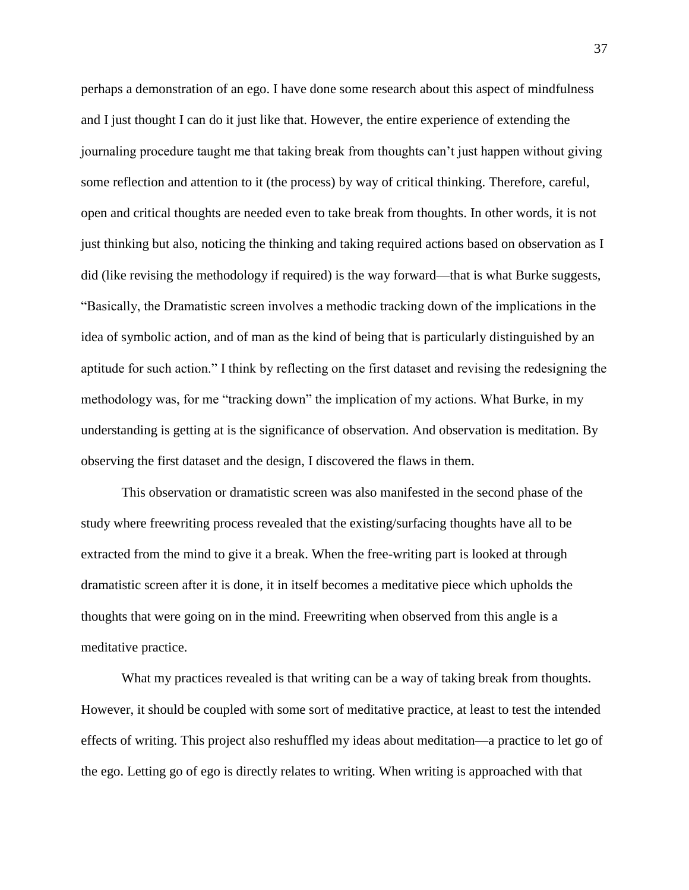perhaps a demonstration of an ego. I have done some research about this aspect of mindfulness and I just thought I can do it just like that. However, the entire experience of extending the journaling procedure taught me that taking break from thoughts can't just happen without giving some reflection and attention to it (the process) by way of critical thinking. Therefore, careful, open and critical thoughts are needed even to take break from thoughts. In other words, it is not just thinking but also, noticing the thinking and taking required actions based on observation as I did (like revising the methodology if required) is the way forward—that is what Burke suggests, "Basically, the Dramatistic screen involves a methodic tracking down of the implications in the idea of symbolic action, and of man as the kind of being that is particularly distinguished by an aptitude for such action." I think by reflecting on the first dataset and revising the redesigning the methodology was, for me "tracking down" the implication of my actions. What Burke, in my understanding is getting at is the significance of observation. And observation is meditation. By observing the first dataset and the design, I discovered the flaws in them.

This observation or dramatistic screen was also manifested in the second phase of the study where freewriting process revealed that the existing/surfacing thoughts have all to be extracted from the mind to give it a break. When the free-writing part is looked at through dramatistic screen after it is done, it in itself becomes a meditative piece which upholds the thoughts that were going on in the mind. Freewriting when observed from this angle is a meditative practice.

What my practices revealed is that writing can be a way of taking break from thoughts. However, it should be coupled with some sort of meditative practice, at least to test the intended effects of writing. This project also reshuffled my ideas about meditation—a practice to let go of the ego. Letting go of ego is directly relates to writing. When writing is approached with that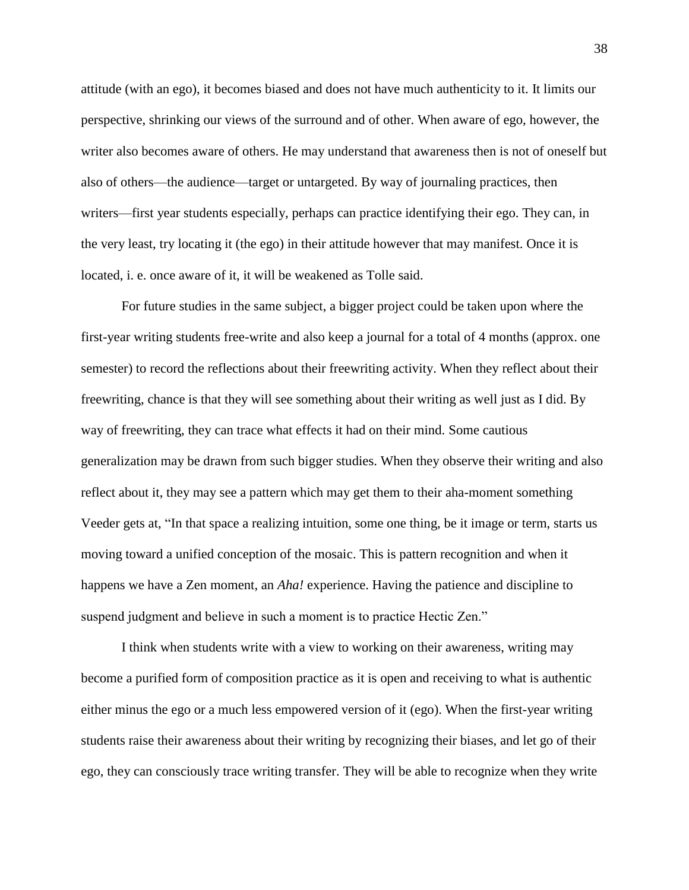attitude (with an ego), it becomes biased and does not have much authenticity to it. It limits our perspective, shrinking our views of the surround and of other. When aware of ego, however, the writer also becomes aware of others. He may understand that awareness then is not of oneself but also of others—the audience—target or untargeted. By way of journaling practices, then writers—first year students especially, perhaps can practice identifying their ego. They can, in the very least, try locating it (the ego) in their attitude however that may manifest. Once it is located, i. e. once aware of it, it will be weakened as Tolle said.

For future studies in the same subject, a bigger project could be taken upon where the first-year writing students free-write and also keep a journal for a total of 4 months (approx. one semester) to record the reflections about their freewriting activity. When they reflect about their freewriting, chance is that they will see something about their writing as well just as I did. By way of freewriting, they can trace what effects it had on their mind. Some cautious generalization may be drawn from such bigger studies. When they observe their writing and also reflect about it, they may see a pattern which may get them to their aha-moment something Veeder gets at, "In that space a realizing intuition, some one thing, be it image or term, starts us moving toward a unified conception of the mosaic. This is pattern recognition and when it happens we have a Zen moment, an *Aha!* experience. Having the patience and discipline to suspend judgment and believe in such a moment is to practice Hectic Zen."

I think when students write with a view to working on their awareness, writing may become a purified form of composition practice as it is open and receiving to what is authentic either minus the ego or a much less empowered version of it (ego). When the first-year writing students raise their awareness about their writing by recognizing their biases, and let go of their ego, they can consciously trace writing transfer. They will be able to recognize when they write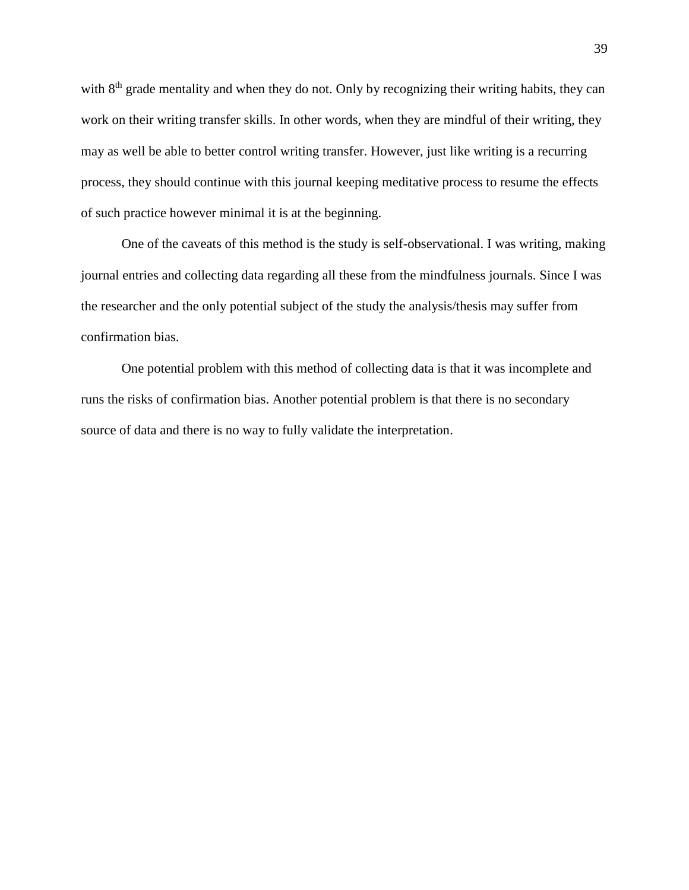with 8<sup>th</sup> grade mentality and when they do not. Only by recognizing their writing habits, they can work on their writing transfer skills. In other words, when they are mindful of their writing, they may as well be able to better control writing transfer. However, just like writing is a recurring process, they should continue with this journal keeping meditative process to resume the effects of such practice however minimal it is at the beginning.

One of the caveats of this method is the study is self-observational. I was writing, making journal entries and collecting data regarding all these from the mindfulness journals. Since I was the researcher and the only potential subject of the study the analysis/thesis may suffer from confirmation bias.

One potential problem with this method of collecting data is that it was incomplete and runs the risks of confirmation bias. Another potential problem is that there is no secondary source of data and there is no way to fully validate the interpretation.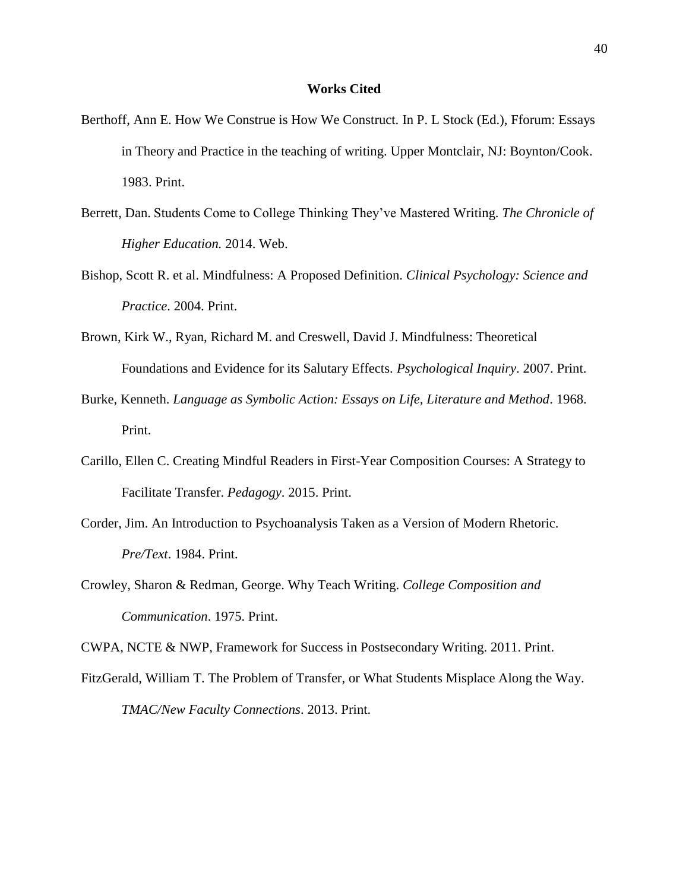### **Works Cited**

- Berthoff, Ann E. How We Construe is How We Construct. In P. L Stock (Ed.), Fforum: Essays in Theory and Practice in the teaching of writing. Upper Montclair, NJ: Boynton/Cook. 1983. Print.
- Berrett, Dan. Students Come to College Thinking They've Mastered Writing. *The Chronicle of Higher Education.* 2014. Web.
- Bishop, Scott R. et al. Mindfulness: A Proposed Definition. *Clinical Psychology: Science and Practice*. 2004. Print.
- Brown, Kirk W., Ryan, Richard M. and Creswell, David J. Mindfulness: Theoretical Foundations and Evidence for its Salutary Effects. *Psychological Inquiry*. 2007. Print.
- Burke, Kenneth. *Language as Symbolic Action: Essays on Life, Literature and Method*. 1968. Print.
- Carillo, Ellen C. Creating Mindful Readers in First-Year Composition Courses: A Strategy to Facilitate Transfer. *Pedagogy*. 2015. Print.
- Corder, Jim. An Introduction to Psychoanalysis Taken as a Version of Modern Rhetoric. *Pre/Text*. 1984. Print.
- Crowley, Sharon & Redman, George. Why Teach Writing. *College Composition and Communication*. 1975. Print.

CWPA, NCTE & NWP, Framework for Success in Postsecondary Writing. 2011. Print.

FitzGerald, William T. The Problem of Transfer, or What Students Misplace Along the Way. *TMAC/New Faculty Connections*. 2013. Print.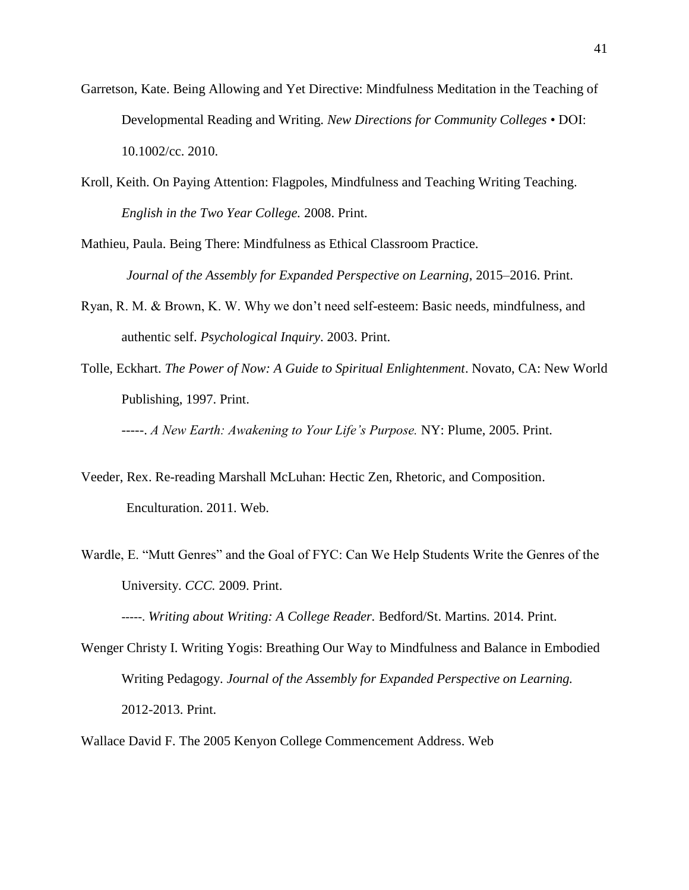- Garretson, Kate. Being Allowing and Yet Directive: Mindfulness Meditation in the Teaching of Developmental Reading and Writing. *New Directions for Community Colleges* • DOI: 10.1002/cc. 2010.
- Kroll, Keith. On Paying Attention: Flagpoles, Mindfulness and Teaching Writing Teaching. *English in the Two Year College.* 2008. Print.
- Mathieu, Paula. Being There: Mindfulness as Ethical Classroom Practice.  *Journal of the Assembly for Expanded Perspective on Learning*, 2015–2016. Print.
- Ryan, R. M. & Brown, K. W. Why we don't need self-esteem: Basic needs, mindfulness, and authentic self. *Psychological Inquiry*. 2003. Print.
- Tolle, Eckhart. *The Power of Now: A Guide to Spiritual Enlightenment*. Novato, CA: New World Publishing, 1997. Print.

-----. *A New Earth: Awakening to Your Life's Purpose.* NY: Plume, 2005. Print.

- Veeder, Rex. Re-reading Marshall McLuhan: Hectic Zen, Rhetoric, and Composition. Enculturation. 2011. Web.
- Wardle, E. "Mutt Genres" and the Goal of FYC: Can We Help Students Write the Genres of the University. *CCC.* 2009. Print.

-----. *Writing about Writing: A College Reader.* Bedford/St. Martins*.* 2014. Print.

Wenger Christy I. Writing Yogis: Breathing Our Way to Mindfulness and Balance in Embodied Writing Pedagogy. *Journal of the Assembly for Expanded Perspective on Learning.*  2012-2013. Print.

Wallace David F. The 2005 Kenyon College Commencement Address. Web